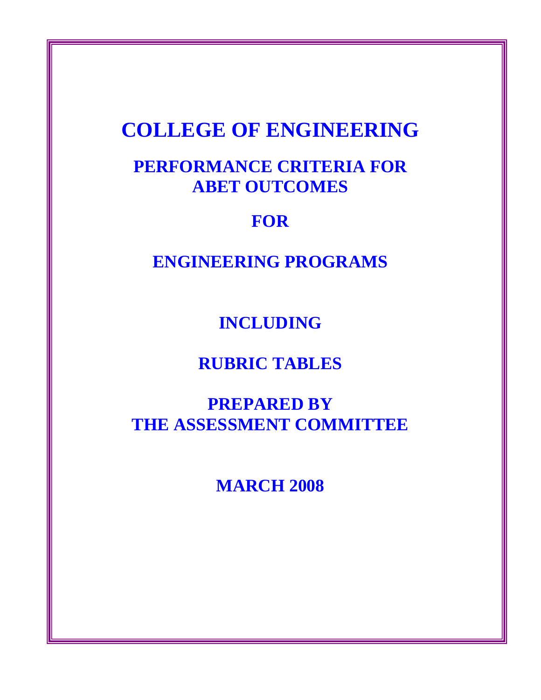# **COLLEGE OF ENGINEERING**

# **PERFORMANCE CRITERIA FOR ABET OUTCOMES**

# **FOR**

**ENGINEERING PROGRAMS** 

**INCLUDING** 

**RUBRIC TABLES** 

**PREPARED BY THE ASSESSMENT COMMITTEE** 

**MARCH 2008**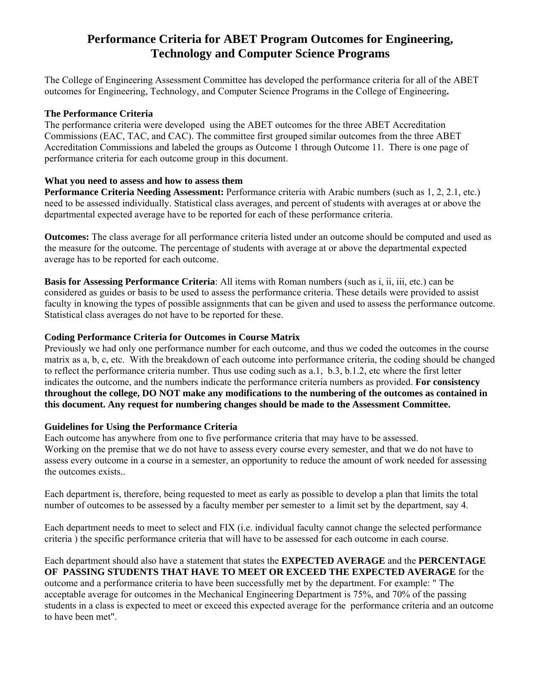# **Performance Criteria for ABET Program Outcomes for Engineering, Technology and Computer Science Programs**

The College of Engineering Assessment Committee has developed the performance criteria for all of the ABET outcomes for Engineering, Technology, and Computer Science Programs in the College of Engineering**.** 

### **The Performance Criteria**

The performance criteria were developed using the ABET outcomes for the three ABET Accreditation Commissions (EAC, TAC, and CAC). The committee first grouped similar outcomes from the three ABET Accreditation Commissions and labeled the groups as Outcome 1 through Outcome 11. There is one page of performance criteria for each outcome group in this document.

# **What you need to assess and how to assess them**

**Performance Criteria Needing Assessment:** Performance criteria with Arabic numbers (such as 1, 2, 2.1, etc.) need to be assessed individually. Statistical class averages, and percent of students with averages at or above the departmental expected average have to be reported for each of these performance criteria.

**Outcomes:** The class average for all performance criteria listed under an outcome should be computed and used as the measure for the outcome. The percentage of students with average at or above the departmental expected average has to be reported for each outcome.

**Basis for Assessing Performance Criteria**: All items with Roman numbers (such as i, ii, iii, etc.) can be considered as guides or basis to be used to assess the performance criteria. These details were provided to assist faculty in knowing the types of possible assignments that can be given and used to assess the performance outcome. Statistical class averages do not have to be reported for these.

# **Coding Performance Criteria for Outcomes in Course Matrix**

Previously we had only one performance number for each outcome, and thus we coded the outcomes in the course matrix as a, b, c, etc. With the breakdown of each outcome into performance criteria, the coding should be changed to reflect the performance criteria number. Thus use coding such as a.1, b.3, b.1.2, etc where the first letter indicates the outcome, and the numbers indicate the performance criteria numbers as provided. **For consistency throughout the college, DO NOT make any modifications to the numbering of the outcomes as contained in this document. Any request for numbering changes should be made to the Assessment Committee.** 

# **Guidelines for Using the Performance Criteria**

Each outcome has anywhere from one to five performance criteria that may have to be assessed. Working on the premise that we do not have to assess every course every semester, and that we do not have to assess every outcome in a course in a semester, an opportunity to reduce the amount of work needed for assessing the outcomes exists..

Each department is, therefore, being requested to meet as early as possible to develop a plan that limits the total number of outcomes to be assessed by a faculty member per semester to a limit set by the department, say 4.

Each department needs to meet to select and FIX (i.e. individual faculty cannot change the selected performance criteria ) the specific performance criteria that will have to be assessed for each outcome in each course.

#### Each department should also have a statement that states the **EXPECTED AVERAGE** and the **PERCENTAGE OF PASSING STUDENTS THAT HAVE TO MEET OR EXCEED THE EXPECTED AVERAGE** for the

outcome and a performance criteria to have been successfully met by the department. For example: " The acceptable average for outcomes in the Mechanical Engineering Department is 75%, and 70% of the passing students in a class is expected to meet or exceed this expected average for the performance criteria and an outcome to have been met".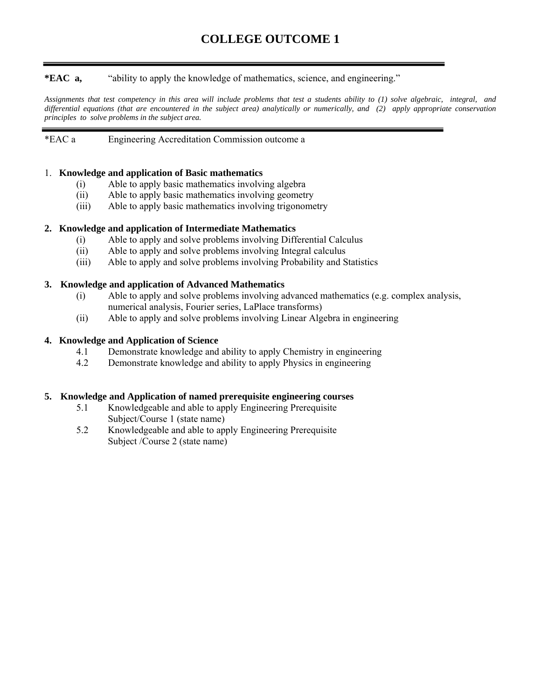**\*EAC a,** "ability to apply the knowledge of mathematics, science, and engineering."

*Assignments that test competency in this area will include problems that test a students ability to (1) solve algebraic, integral, and differential equations (that are encountered in the subject area) analytically or numerically, and (2) apply appropriate conservation principles to solve problems in the subject area.* 

# \*EAC a Engineering Accreditation Commission outcome a

### 1. **Knowledge and application of Basic mathematics**

- (i) Able to apply basic mathematics involving algebra
- (ii) Able to apply basic mathematics involving geometry
- (iii) Able to apply basic mathematics involving trigonometry

#### **2. Knowledge and application of Intermediate Mathematics**

- (i) Able to apply and solve problems involving Differential Calculus
- (ii) Able to apply and solve problems involving Integral calculus
- (iii) Able to apply and solve problems involving Probability and Statistics

#### **3. Knowledge and application of Advanced Mathematics**

- (i) Able to apply and solve problems involving advanced mathematics (e.g. complex analysis, numerical analysis, Fourier series, LaPlace transforms)
- (ii) Able to apply and solve problems involving Linear Algebra in engineering

### **4. Knowledge and Application of Science**

- 4.1 Demonstrate knowledge and ability to apply Chemistry in engineering
- 4.2 Demonstrate knowledge and ability to apply Physics in engineering

#### **5. Knowledge and Application of named prerequisite engineering courses**

- 5.1 Knowledgeable and able to apply Engineering Prerequisite Subject/Course 1 (state name)<br>5.2 Knowledgeable and able to an
- Knowledgeable and able to apply Engineering Prerequisite Subject /Course 2 (state name)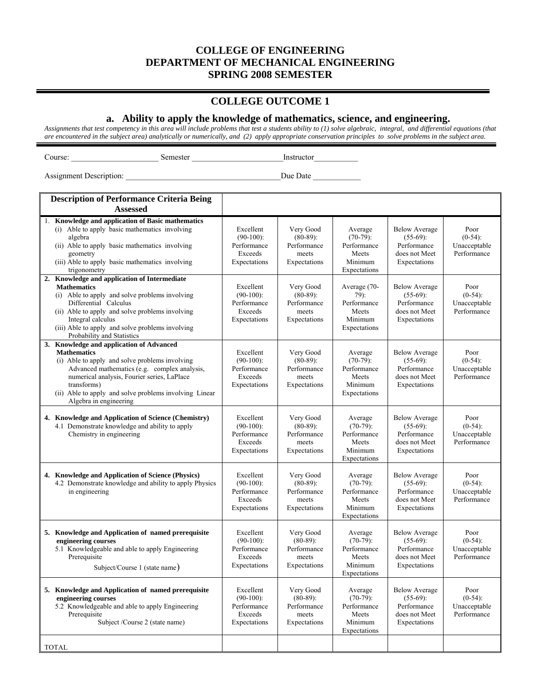## **COLLEGE OUTCOME 1**

#### **a. Ability to apply the knowledge of mathematics, science, and engineering.**

*Assignments that test competency in this area will include problems that test a students ability to (1) solve algebraic, integral, and differential equations (that are encountered in the subject area) analytically or numerically, and (2) apply appropriate conservation principles to solve problems in the subject area.* 

Course: \_\_\_\_\_\_\_\_\_\_\_\_\_\_\_\_\_\_\_\_\_\_ Semester \_\_\_\_\_\_\_\_\_\_\_\_\_\_\_\_\_\_\_\_\_\_\_Instructor\_\_\_\_\_\_\_\_\_\_\_

Assignment Description:  $\Box$  Due Date  $\Box$ 

| <b>Description of Performance Criteria Being</b>                                                                                                                                                                                                                                                                   |                                                                     |                                                                  |                                                                           |                                                                                     |                                                   |
|--------------------------------------------------------------------------------------------------------------------------------------------------------------------------------------------------------------------------------------------------------------------------------------------------------------------|---------------------------------------------------------------------|------------------------------------------------------------------|---------------------------------------------------------------------------|-------------------------------------------------------------------------------------|---------------------------------------------------|
| <b>Assessed</b>                                                                                                                                                                                                                                                                                                    |                                                                     |                                                                  |                                                                           |                                                                                     |                                                   |
| 1. Knowledge and application of Basic mathematics<br>(i) Able to apply basic mathematics involving<br>algebra<br>(ii) Able to apply basic mathematics involving<br>geometry<br>(iii) Able to apply basic mathematics involving<br>trigonometry                                                                     | Excellent<br>$(90-100)$ :<br>Performance<br>Exceeds<br>Expectations | Very Good<br>$(80-89)$ :<br>Performance<br>meets<br>Expectations | Average<br>$(70-79)$ :<br>Performance<br>Meets<br>Minimum<br>Expectations | <b>Below Average</b><br>$(55-69)$ :<br>Performance<br>does not Meet<br>Expectations | Poor<br>$(0-54)$ :<br>Unacceptable<br>Performance |
| Knowledge and application of Intermediate<br>2.<br><b>Mathematics</b><br>(i) Able to apply and solve problems involving<br>Differential Calculus<br>(ii) Able to apply and solve problems involving<br>Integral calculus<br>(iii) Able to apply and solve problems involving<br>Probability and Statistics         | Excellent<br>$(90-100)$ :<br>Performance<br>Exceeds<br>Expectations | Very Good<br>$(80-89)$ :<br>Performance<br>meets<br>Expectations | Average (70-<br>79):<br>Performance<br>Meets<br>Minimum<br>Expectations   | <b>Below Average</b><br>$(55-69)$ :<br>Performance<br>does not Meet<br>Expectations | Poor<br>$(0-54)$ :<br>Unacceptable<br>Performance |
| 3. Knowledge and application of Advanced<br><b>Mathematics</b><br>(i) Able to apply and solve problems involving<br>Advanced mathematics (e.g. complex analysis,<br>numerical analysis, Fourier series, LaPlace<br>transforms)<br>(ii) Able to apply and solve problems involving Linear<br>Algebra in engineering | Excellent<br>$(90-100)$ :<br>Performance<br>Exceeds<br>Expectations | Very Good<br>$(80-89)$ :<br>Performance<br>meets<br>Expectations | Average<br>$(70-79)$ :<br>Performance<br>Meets<br>Minimum<br>Expectations | <b>Below Average</b><br>$(55-69)$ :<br>Performance<br>does not Meet<br>Expectations | Poor<br>$(0-54)$ :<br>Unacceptable<br>Performance |
| 4. Knowledge and Application of Science (Chemistry)<br>4.1 Demonstrate knowledge and ability to apply<br>Chemistry in engineering                                                                                                                                                                                  | Excellent<br>$(90-100)$ :<br>Performance<br>Exceeds<br>Expectations | Very Good<br>$(80-89)$ :<br>Performance<br>meets<br>Expectations | Average<br>$(70-79)$ :<br>Performance<br>Meets<br>Minimum<br>Expectations | <b>Below Average</b><br>$(55-69)$ :<br>Performance<br>does not Meet<br>Expectations | Poor<br>$(0-54)$ :<br>Unacceptable<br>Performance |
| 4. Knowledge and Application of Science (Physics)<br>4.2 Demonstrate knowledge and ability to apply Physics<br>in engineering                                                                                                                                                                                      | Excellent<br>$(90-100)$ :<br>Performance<br>Exceeds<br>Expectations | Very Good<br>$(80-89)$ :<br>Performance<br>meets<br>Expectations | Average<br>$(70-79)$ :<br>Performance<br>Meets<br>Minimum<br>Expectations | <b>Below Average</b><br>$(55-69)$ :<br>Performance<br>does not Meet<br>Expectations | Poor<br>$(0-54)$ :<br>Unacceptable<br>Performance |
| 5. Knowledge and Application of named prerequisite<br>engineering courses<br>5.1 Knowledgeable and able to apply Engineering<br>Prerequisite<br>Subject/Course 1 (state name)                                                                                                                                      | Excellent<br>$(90-100)$ :<br>Performance<br>Exceeds<br>Expectations | Very Good<br>$(80-89)$ :<br>Performance<br>meets<br>Expectations | Average<br>$(70-79)$ :<br>Performance<br>Meets<br>Minimum<br>Expectations | <b>Below Average</b><br>$(55-69)$ :<br>Performance<br>does not Meet<br>Expectations | Poor<br>$(0-54)$ :<br>Unacceptable<br>Performance |
| 5. Knowledge and Application of named prerequisite<br>engineering courses<br>5.2 Knowledgeable and able to apply Engineering<br>Prerequisite<br>Subject /Course 2 (state name)                                                                                                                                     | Excellent<br>$(90-100)$ :<br>Performance<br>Exceeds<br>Expectations | Very Good<br>$(80-89)$ :<br>Performance<br>meets<br>Expectations | Average<br>$(70-79)$ :<br>Performance<br>Meets<br>Minimum<br>Expectations | <b>Below Average</b><br>$(55-69)$ :<br>Performance<br>does not Meet<br>Expectations | Poor<br>$(0-54)$ :<br>Unacceptable<br>Performance |
| <b>TOTAL</b>                                                                                                                                                                                                                                                                                                       |                                                                     |                                                                  |                                                                           |                                                                                     |                                                   |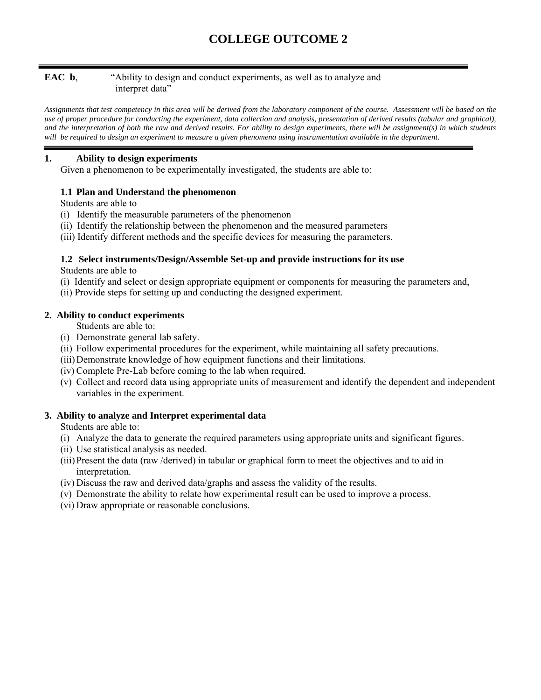# **EAC b**, "Ability to design and conduct experiments, as well as to analyze and interpret data"

*Assignments that test competency in this area will be derived from the laboratory component of the course. Assessment will be based on the use of proper procedure for conducting the experiment, data collection and analysis, presentation of derived results (tabular and graphical), and the interpretation of both the raw and derived results. For ability to design experiments, there will be assignment(s) in which students will be required to design an experiment to measure a given phenomena using instrumentation available in the department.* 

# **1. Ability to design experiments**

Given a phenomenon to be experimentally investigated, the students are able to:

# **1.1 Plan and Understand the phenomenon**

Students are able to

- (i) Identify the measurable parameters of the phenomenon
- (ii) Identify the relationship between the phenomenon and the measured parameters
- (iii) Identify different methods and the specific devices for measuring the parameters.

# **1.2 Select instruments/Design/Assemble Set-up and provide instructions for its use**

Students are able to

- (i) Identify and select or design appropriate equipment or components for measuring the parameters and,
- (ii) Provide steps for setting up and conducting the designed experiment.

# **2. Ability to conduct experiments**

Students are able to:

- (i) Demonstrate general lab safety.
- (ii) Follow experimental procedures for the experiment, while maintaining all safety precautions.
- (iii) Demonstrate knowledge of how equipment functions and their limitations.
- (iv) Complete Pre-Lab before coming to the lab when required.
- (v) Collect and record data using appropriate units of measurement and identify the dependent and independent variables in the experiment.

# **3. Ability to analyze and Interpret experimental data**

Students are able to:

- (i) Analyze the data to generate the required parameters using appropriate units and significant figures.
- (ii) Use statistical analysis as needed.
- (iii)Present the data (raw /derived) in tabular or graphical form to meet the objectives and to aid in interpretation.
- (iv) Discuss the raw and derived data/graphs and assess the validity of the results.
- (v) Demonstrate the ability to relate how experimental result can be used to improve a process.
- (vi) Draw appropriate or reasonable conclusions.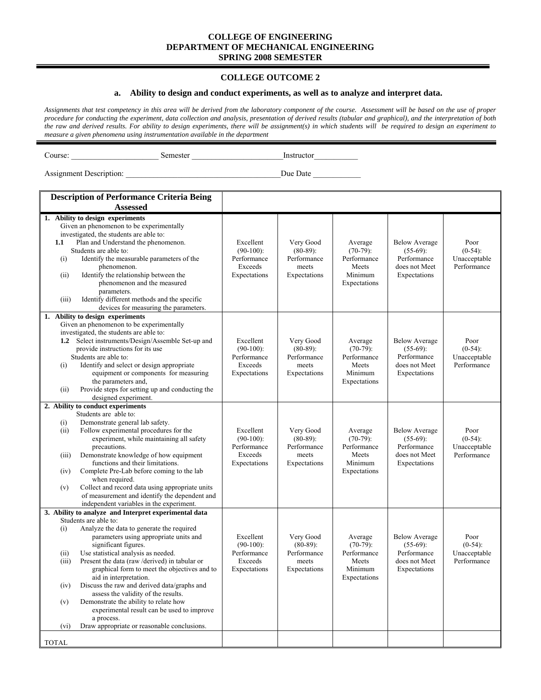#### **COLLEGE OUTCOME 2**

#### **a. Ability to design and conduct experiments, as well as to analyze and interpret data.**

*Assignments that test competency in this area will be derived from the laboratory component of the course. Assessment will be based on the use of proper procedure for conducting the experiment, data collection and analysis, presentation of derived results (tabular and graphical), and the interpretation of both the raw and derived results. For ability to design experiments, there will be assignment(s) in which students will be required to design an experiment to measure a given phenomena using instrumentation available in the department* 

Course: \_\_\_\_\_\_\_\_\_\_\_\_\_\_\_\_\_\_\_\_\_\_ Semester \_\_\_\_\_\_\_\_\_\_\_\_\_\_\_\_\_\_\_\_\_\_\_Instructor\_\_\_\_\_\_\_\_\_\_\_

| <b>Description of Performance Criteria Being</b>                                                                                                                                                                                                                                                                                                                                                                                                                                                                                                                                                                                                         |                                                                     |                                                                  |                                                                           |                                                                                     |                                                   |
|----------------------------------------------------------------------------------------------------------------------------------------------------------------------------------------------------------------------------------------------------------------------------------------------------------------------------------------------------------------------------------------------------------------------------------------------------------------------------------------------------------------------------------------------------------------------------------------------------------------------------------------------------------|---------------------------------------------------------------------|------------------------------------------------------------------|---------------------------------------------------------------------------|-------------------------------------------------------------------------------------|---------------------------------------------------|
| <b>Assessed</b>                                                                                                                                                                                                                                                                                                                                                                                                                                                                                                                                                                                                                                          |                                                                     |                                                                  |                                                                           |                                                                                     |                                                   |
| 1. Ability to design experiments<br>Given an phenomenon to be experimentally<br>investigated, the students are able to:<br>Plan and Understand the phenomenon.<br>1.1<br>Students are able to:<br>Identify the measurable parameters of the<br>(i)<br>phenomenon.<br>Identify the relationship between the<br>(ii)<br>phenomenon and the measured<br>parameters.<br>Identify different methods and the specific<br>(iii)<br>devices for measuring the parameters.                                                                                                                                                                                        | Excellent<br>$(90-100)$ :<br>Performance<br>Exceeds<br>Expectations | Very Good<br>$(80-89)$ :<br>Performance<br>meets<br>Expectations | Average<br>$(70-79)$ :<br>Performance<br>Meets<br>Minimum<br>Expectations | <b>Below Average</b><br>$(55-69)$ :<br>Performance<br>does not Meet<br>Expectations | Poor<br>$(0-54)$ :<br>Unacceptable<br>Performance |
| 1. Ability to design experiments<br>Given an phenomenon to be experimentally<br>investigated, the students are able to:<br>1.2 Select instruments/Design/Assemble Set-up and<br>provide instructions for its use<br>Students are able to:<br>Identify and select or design appropriate<br>(i)<br>equipment or components for measuring<br>the parameters and,<br>Provide steps for setting up and conducting the<br>(ii)<br>designed experiment.                                                                                                                                                                                                         | Excellent<br>$(90-100)$ :<br>Performance<br>Exceeds<br>Expectations | Very Good<br>$(80-89)$ :<br>Performance<br>meets<br>Expectations | Average<br>$(70-79)$ :<br>Performance<br>Meets<br>Minimum<br>Expectations | <b>Below Average</b><br>$(55-69)$ :<br>Performance<br>does not Meet<br>Expectations | Poor<br>$(0-54)$ :<br>Unacceptable<br>Performance |
| 2. Ability to conduct experiments<br>Students are able to:<br>Demonstrate general lab safety.<br>(i)<br>Follow experimental procedures for the<br>(ii)<br>experiment, while maintaining all safety<br>precautions.<br>Demonstrate knowledge of how equipment<br>(iii)<br>functions and their limitations.<br>Complete Pre-Lab before coming to the lab<br>(iv)<br>when required.<br>Collect and record data using appropriate units<br>(v)<br>of measurement and identify the dependent and<br>independent variables in the experiment.                                                                                                                  | Excellent<br>$(90-100)$ :<br>Performance<br>Exceeds<br>Expectations | Very Good<br>$(80-89)$ :<br>Performance<br>meets<br>Expectations | Average<br>$(70-79)$ :<br>Performance<br>Meets<br>Minimum<br>Expectations | <b>Below Average</b><br>$(55-69)$ :<br>Performance<br>does not Meet<br>Expectations | Poor<br>$(0-54)$ :<br>Unacceptable<br>Performance |
| 3. Ability to analyze and Interpret experimental data<br>Students are able to:<br>Analyze the data to generate the required<br>(i)<br>parameters using appropriate units and<br>significant figures.<br>Use statistical analysis as needed.<br>(ii)<br>Present the data (raw /derived) in tabular or<br>(iii)<br>graphical form to meet the objectives and to<br>aid in interpretation.<br>Discuss the raw and derived data/graphs and<br>(iv)<br>assess the validity of the results.<br>Demonstrate the ability to relate how<br>(v)<br>experimental result can be used to improve<br>a process.<br>Draw appropriate or reasonable conclusions.<br>(vi) | Excellent<br>$(90-100)$ :<br>Performance<br>Exceeds<br>Expectations | Very Good<br>$(80-89)$ :<br>Performance<br>meets<br>Expectations | Average<br>$(70-79)$ :<br>Performance<br>Meets<br>Minimum<br>Expectations | <b>Below Average</b><br>$(55-69)$ :<br>Performance<br>does not Meet<br>Expectations | Poor<br>$(0-54)$ :<br>Unacceptable<br>Performance |
| <b>TOTAL</b>                                                                                                                                                                                                                                                                                                                                                                                                                                                                                                                                                                                                                                             |                                                                     |                                                                  |                                                                           |                                                                                     |                                                   |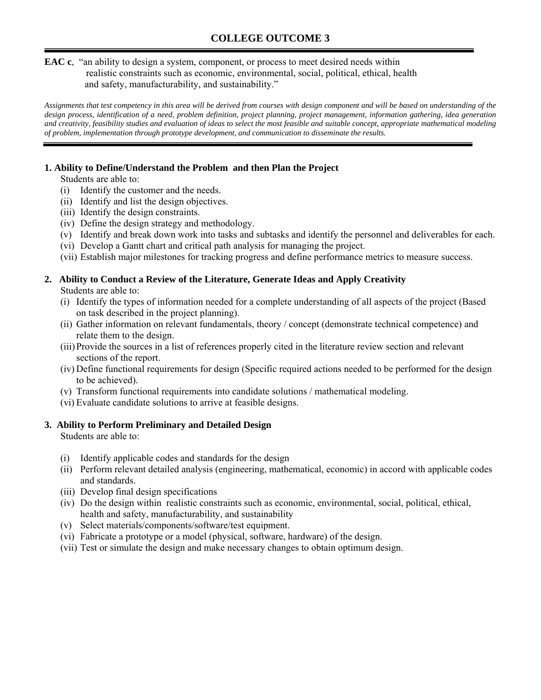## **EAC c**, "an ability to design a system, component, or process to meet desired needs within realistic constraints such as economic, environmental, social, political, ethical, health and safety, manufacturability, and sustainability."

*Assignments that test competency in this area will be derived from courses with design component and will be based on understanding of the design process, identification of a need, problem definition, project planning, project management, information gathering, idea generation and creativity, feasibility studies and evaluation of ideas to select the most feasible and suitable concept, appropriate mathematical modeling of problem, implementation through prototype development, and communication to disseminate the results.* 

# **1. Ability to Define/Understand the Problem and then Plan the Project**

Students are able to:

- (i) Identify the customer and the needs.
- (ii) Identify and list the design objectives.
- (iii) Identify the design constraints.
- (iv) Define the design strategy and methodology.
- (v) Identify and break down work into tasks and subtasks and identify the personnel and deliverables for each.
- (vi) Develop a Gantt chart and critical path analysis for managing the project.
- (vii) Establish major milestones for tracking progress and define performance metrics to measure success.

# **2. Ability to Conduct a Review of the Literature, Generate Ideas and Apply Creativity**

Students are able to:

- (i) Identify the types of information needed for a complete understanding of all aspects of the project (Based on task described in the project planning).
- (ii) Gather information on relevant fundamentals, theory / concept (demonstrate technical competence) and relate them to the design.
- (iii)Provide the sources in a list of references properly cited in the literature review section and relevant sections of the report.
- (iv) Define functional requirements for design (Specific required actions needed to be performed for the design to be achieved).
- (v) Transform functional requirements into candidate solutions / mathematical modeling.
- (vi) Evaluate candidate solutions to arrive at feasible designs.

# **3. Ability to Perform Preliminary and Detailed Design**

Students are able to:

- (i) Identify applicable codes and standards for the design
- (ii) Perform relevant detailed analysis (engineering, mathematical, economic) in accord with applicable codes and standards.
- (iii) Develop final design specifications
- (iv) Do the design within realistic constraints such as economic, environmental, social, political, ethical, health and safety, manufacturability, and sustainability
- (v) Select materials/components/software/test equipment.
- (vi) Fabricate a prototype or a model (physical, software, hardware) of the design.
- (vii) Test or simulate the design and make necessary changes to obtain optimum design.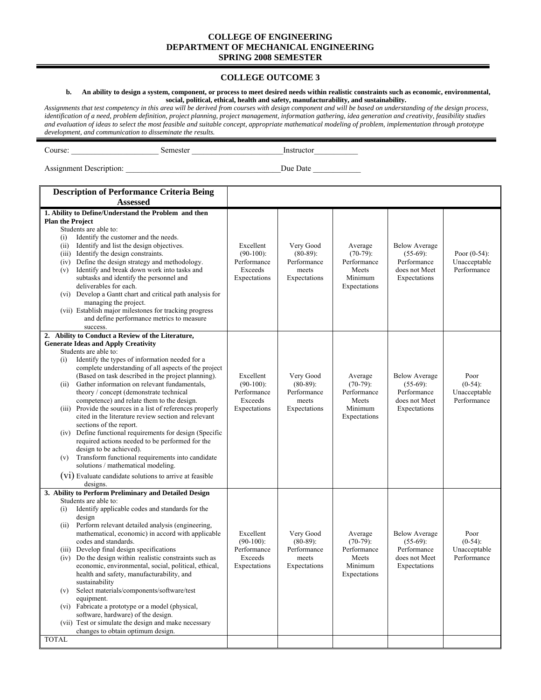#### **COLLEGE OUTCOME 3**

#### **b. An ability to design a system, component, or process to meet desired needs within realistic constraints such as economic, environmental, social, political, ethical, health and safety, manufacturability, and sustainability.**

*Assignments that test competency in this area will be derived from courses with design component and will be based on understanding of the design process, identification of a need, problem definition, project planning, project management, information gathering, idea generation and creativity, feasibility studies and evaluation of ideas to select the most feasible and suitable concept, appropriate mathematical modeling of problem, implementation through prototype development, and communication to disseminate the results.*

Course: \_\_\_\_\_\_\_\_\_\_\_\_\_\_\_\_\_\_\_\_\_\_ Semester \_\_\_\_\_\_\_\_\_\_\_\_\_\_\_\_\_\_\_\_\_\_\_Instructor\_\_\_\_\_\_\_\_\_\_\_

| <b>Description of Performance Criteria Being</b>                                                                                                                                                                                                                                                                                                                                                                                                                                                                                                                                                                                                                                                                                                                                                                                                                                                                   |                                                                     |                                                                  |                                                                                  |                                                                                     |                                                   |
|--------------------------------------------------------------------------------------------------------------------------------------------------------------------------------------------------------------------------------------------------------------------------------------------------------------------------------------------------------------------------------------------------------------------------------------------------------------------------------------------------------------------------------------------------------------------------------------------------------------------------------------------------------------------------------------------------------------------------------------------------------------------------------------------------------------------------------------------------------------------------------------------------------------------|---------------------------------------------------------------------|------------------------------------------------------------------|----------------------------------------------------------------------------------|-------------------------------------------------------------------------------------|---------------------------------------------------|
| <b>Assessed</b>                                                                                                                                                                                                                                                                                                                                                                                                                                                                                                                                                                                                                                                                                                                                                                                                                                                                                                    |                                                                     |                                                                  |                                                                                  |                                                                                     |                                                   |
| 1. Ability to Define/Understand the Problem and then<br><b>Plan the Project</b><br>Students are able to:<br>Identify the customer and the needs.<br>(i)<br>(ii) Identify and list the design objectives.<br>(iii) Identify the design constraints.<br>(iv) Define the design strategy and methodology.<br>Identify and break down work into tasks and<br>(v)<br>subtasks and identify the personnel and<br>deliverables for each.<br>(vi) Develop a Gantt chart and critical path analysis for<br>managing the project.<br>(vii) Establish major milestones for tracking progress<br>and define performance metrics to measure<br>success.                                                                                                                                                                                                                                                                         | Excellent<br>$(90-100)$ :<br>Performance<br>Exceeds<br>Expectations | Very Good<br>$(80-89)$ :<br>Performance<br>meets<br>Expectations | Average<br>$(70-79)$ :<br>Performance<br><b>Meets</b><br>Minimum<br>Expectations | <b>Below Average</b><br>$(55-69)$ :<br>Performance<br>does not Meet<br>Expectations | Poor $(0-54)$ :<br>Unacceptable<br>Performance    |
| 2. Ability to Conduct a Review of the Literature,<br><b>Generate Ideas and Apply Creativity</b><br>Students are able to:<br>Identify the types of information needed for a<br>(i)<br>complete understanding of all aspects of the project<br>(Based on task described in the project planning).<br>Gather information on relevant fundamentals,<br>(ii)<br>theory / concept (demonstrate technical<br>competence) and relate them to the design.<br>(iii) Provide the sources in a list of references properly<br>cited in the literature review section and relevant<br>sections of the report.<br>(iv) Define functional requirements for design (Specific<br>required actions needed to be performed for the<br>design to be achieved).<br>Transform functional requirements into candidate<br>(v)<br>solutions / mathematical modeling.<br>(V1) Evaluate candidate solutions to arrive at feasible<br>designs. | Excellent<br>$(90-100)$ :<br>Performance<br>Exceeds<br>Expectations | Very Good<br>$(80-89)$ :<br>Performance<br>meets<br>Expectations | Average<br>$(70-79)$ :<br>Performance<br>Meets<br>Minimum<br>Expectations        | <b>Below Average</b><br>$(55-69)$ :<br>Performance<br>does not Meet<br>Expectations | Poor<br>$(0-54)$ :<br>Unacceptable<br>Performance |
| 3. Ability to Perform Preliminary and Detailed Design<br>Students are able to:<br>Identify applicable codes and standards for the<br>(i)<br>design<br>Perform relevant detailed analysis (engineering,<br>(ii)<br>mathematical, economic) in accord with applicable<br>codes and standards.<br>(iii) Develop final design specifications<br>(iv) Do the design within realistic constraints such as<br>economic, environmental, social, political, ethical,<br>health and safety, manufacturability, and<br>sustainability<br>Select materials/components/software/test<br>(v)<br>equipment.<br>(vi) Fabricate a prototype or a model (physical,<br>software, hardware) of the design.<br>(vii) Test or simulate the design and make necessary<br>changes to obtain optimum design.                                                                                                                                | Excellent<br>$(90-100)$ :<br>Performance<br>Exceeds<br>Expectations | Very Good<br>$(80-89)$ :<br>Performance<br>meets<br>Expectations | Average<br>$(70-79)$ :<br>Performance<br><b>Meets</b><br>Minimum<br>Expectations | <b>Below Average</b><br>$(55-69)$ :<br>Performance<br>does not Meet<br>Expectations | Poor<br>$(0-54)$ :<br>Unacceptable<br>Performance |
| <b>TOTAL</b>                                                                                                                                                                                                                                                                                                                                                                                                                                                                                                                                                                                                                                                                                                                                                                                                                                                                                                       |                                                                     |                                                                  |                                                                                  |                                                                                     |                                                   |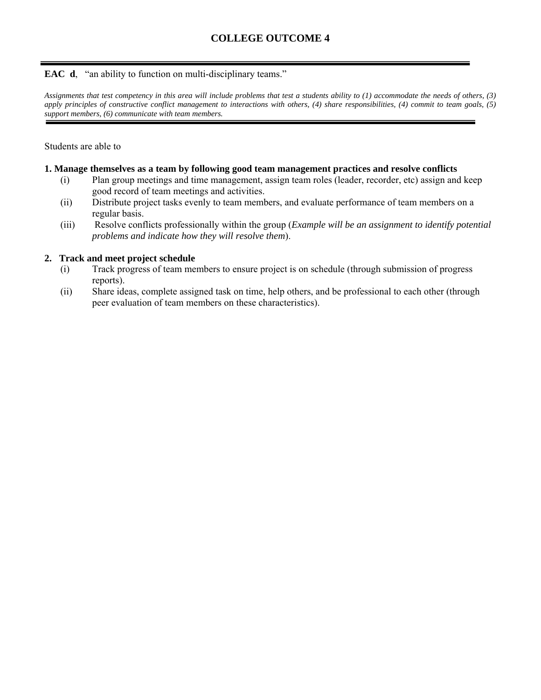# **EAC d**, "an ability to function on multi-disciplinary teams."

*Assignments that test competency in this area will include problems that test a students ability to (1) accommodate the needs of others, (3) apply principles of constructive conflict management to interactions with others, (4) share responsibilities, (4) commit to team goals, (5) support members, (6) communicate with team members.* 

#### Students are able to

#### **1. Manage themselves as a team by following good team management practices and resolve conflicts**

- (i) Plan group meetings and time management, assign team roles (leader, recorder, etc) assign and keep good record of team meetings and activities.
- (ii) Distribute project tasks evenly to team members, and evaluate performance of team members on a regular basis.
- (iii) Resolve conflicts professionally within the group (*Example will be an assignment to identify potential problems and indicate how they will resolve them*).

### **2. Track and meet project schedule**

- (i) Track progress of team members to ensure project is on schedule (through submission of progress reports).
- (ii) Share ideas, complete assigned task on time, help others, and be professional to each other (through peer evaluation of team members on these characteristics).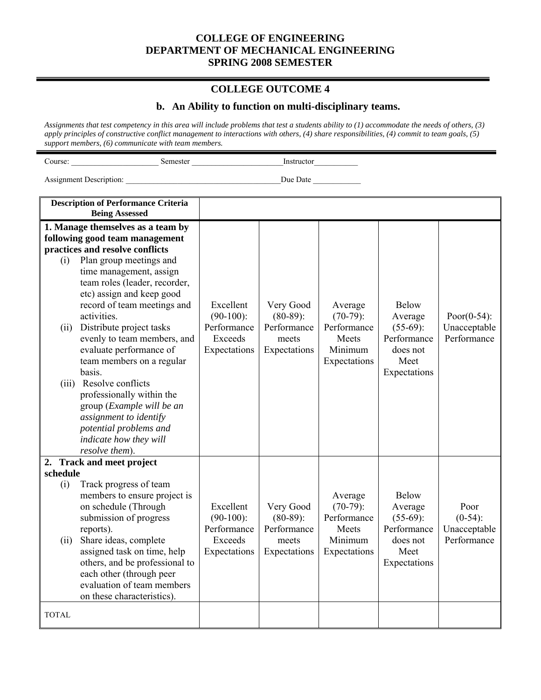## **COLLEGE OUTCOME 4**

#### **b. An Ability to function on multi-disciplinary teams.**

*Assignments that test competency in this area will include problems that test a students ability to (1) accommodate the needs of others, (3) apply principles of constructive conflict management to interactions with others, (4) share responsibilities, (4) commit to team goals, (5) support members, (6) communicate with team members.*

| Course: | Semester | Instructor |  |
|---------|----------|------------|--|
|         |          |            |  |

Assignment Description: \_\_\_\_\_\_\_\_\_\_\_\_\_\_\_\_\_\_\_\_\_\_\_\_\_\_\_\_\_\_\_\_\_\_\_\_\_\_\_Due Date \_\_\_\_\_\_\_\_\_\_\_\_

**Description of Performance Criteria Being Assessed 1. Manage themselves as a team by following good team management practices and resolve conflicts**  (i) Plan group meetings and time management, assign team roles (leader, recorder, etc) assign and keep good record of team meetings and activities. (ii) Distribute project tasks evenly to team members, and evaluate performance of team members on a regular basis. (iii) Resolve conflicts professionally within the group (*Example will be an assignment to identify potential problems and indicate how they will resolve them*). Excellent  $(90-100)$ : Performance Exceeds Expectations Very Good (80-89): Performance meets Expectations Average (70-79): Performance Meets Minimum Expectations Below Average (55-69): Performance does not Meet Expectations Poor(0-54): Unacceptable **Performance 2. Track and meet project schedule**  (i) Track progress of team members to ensure project is on schedule (Through submission of progress reports). (ii) Share ideas, complete assigned task on time, help others, and be professional to each other (through peer evaluation of team members on these characteristics). Excellent  $(90-100)$ : Performance Exceeds Expectations Very Good (80-89): Performance meets Expectations Average  $(70-79)$ : Performance Meets Minimum Expectations Below Average  $(55-69)$ : Performance does not Meet Expectations Poor  $(0-54)$ : Unacceptable Performance TOTAL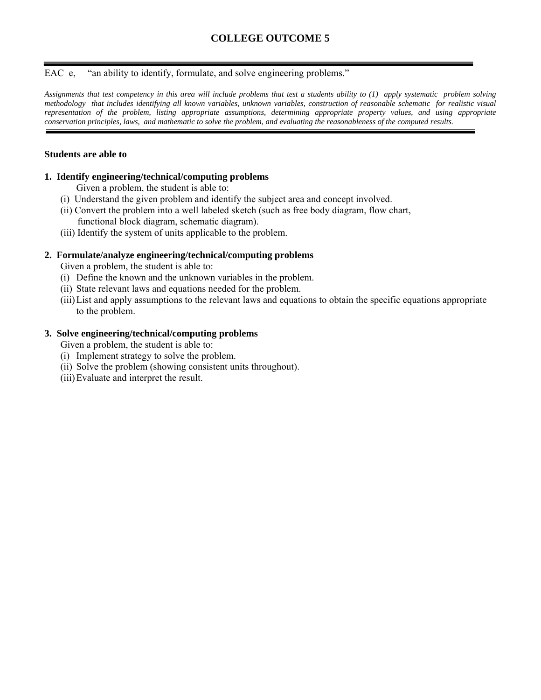# **COLLEGE OUTCOME 5**

EAC e, "an ability to identify, formulate, and solve engineering problems."

*Assignments that test competency in this area will include problems that test a students ability to (1) apply systematic problem solving methodology that includes identifying all known variables, unknown variables, construction of reasonable schematic for realistic visual representation of the problem, listing appropriate assumptions, determining appropriate property values, and using appropriate conservation principles, laws, and mathematic to solve the problem, and evaluating the reasonableness of the computed results.*

#### **Students are able to**

#### **1. Identify engineering/technical/computing problems**

Given a problem, the student is able to:

- (i) Understand the given problem and identify the subject area and concept involved.
- (ii) Convert the problem into a well labeled sketch (such as free body diagram, flow chart, functional block diagram, schematic diagram).
- (iii) Identify the system of units applicable to the problem.

#### **2. Formulate/analyze engineering/technical/computing problems**

Given a problem, the student is able to:

- (i) Define the known and the unknown variables in the problem.
- (ii) State relevant laws and equations needed for the problem.
- (iii)List and apply assumptions to the relevant laws and equations to obtain the specific equations appropriate to the problem.

#### **3. Solve engineering/technical/computing problems**

Given a problem, the student is able to:

- (i) Implement strategy to solve the problem.
- (ii) Solve the problem (showing consistent units throughout).
- (iii)Evaluate and interpret the result.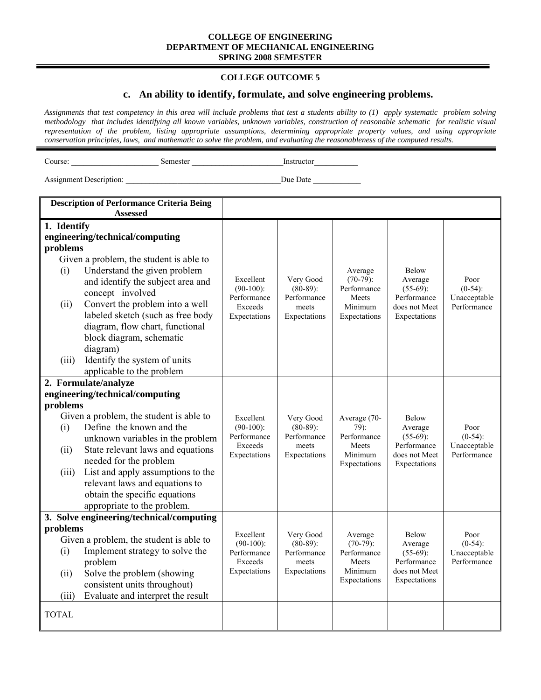#### **COLLEGE OUTCOME 5**

#### **c. An ability to identify, formulate, and solve engineering problems.**

*Assignments that test competency in this area will include problems that test a students ability to (1) apply systematic problem solving methodology that includes identifying all known variables, unknown variables, construction of reasonable schematic for realistic visual representation of the problem, listing appropriate assumptions, determining appropriate property values, and using appropriate conservation principles, laws, and mathematic to solve the problem, and evaluating the reasonableness of the computed results.*

Course: \_\_\_\_\_\_\_\_\_\_\_\_\_\_\_\_\_\_\_\_\_\_ Semester \_\_\_\_\_\_\_\_\_\_\_\_\_\_\_\_\_\_\_\_\_\_\_Instructor\_\_\_\_\_\_\_\_\_\_\_

| <b>Assessed</b><br>1. Identify<br>engineering/technical/computing<br>problems<br>Given a problem, the student is able to<br>Understand the given problem<br>Average<br><b>Below</b><br>(i)<br>Excellent<br>$(70-79)$ :<br>Very Good<br>Poor<br>Average<br>and identify the subject area and<br>$(90-100)$ :<br>$(80-89)$ :<br>Performance<br>$(55-69)$ :<br>$(0-54)$ :<br>concept involved<br>Performance<br>Performance<br>Performance<br>Meets<br>Unacceptable<br>Convert the problem into a well<br>(ii)<br>Exceeds<br>Minimum<br>does not Meet<br>Performance<br>meets<br>labeled sketch (such as free body<br>Expectations<br>Expectations<br>Expectations<br>Expectations<br>diagram, flow chart, functional<br>block diagram, schematic<br>diagram)<br>Identify the system of units<br>(iii)<br>applicable to the problem<br>2. Formulate/analyze<br>engineering/technical/computing<br>problems<br>Given a problem, the student is able to<br>Excellent<br>Very Good<br>Average (70-<br><b>Below</b><br>Define the known and the<br>$(90-100)$ :<br>$(80-89)$ :<br>$79$ :<br>Average<br>Poor<br>(i)<br>Performance<br>Performance<br>Performance<br>$(55-69)$ :<br>$(0-54)$ :<br>unknown variables in the problem<br>Performance<br>Exceeds<br>Unacceptable<br>meets<br>Meets<br>State relevant laws and equations<br>(ii)<br>Minimum<br>Performance<br>Expectations<br>Expectations<br>does not Meet<br>needed for the problem<br>Expectations<br>Expectations<br>List and apply assumptions to the<br>(iii)<br>relevant laws and equations to<br>obtain the specific equations |
|------------------------------------------------------------------------------------------------------------------------------------------------------------------------------------------------------------------------------------------------------------------------------------------------------------------------------------------------------------------------------------------------------------------------------------------------------------------------------------------------------------------------------------------------------------------------------------------------------------------------------------------------------------------------------------------------------------------------------------------------------------------------------------------------------------------------------------------------------------------------------------------------------------------------------------------------------------------------------------------------------------------------------------------------------------------------------------------------------------------------------------------------------------------------------------------------------------------------------------------------------------------------------------------------------------------------------------------------------------------------------------------------------------------------------------------------------------------------------------------------------------------------------------------------------------------------------------------|
|                                                                                                                                                                                                                                                                                                                                                                                                                                                                                                                                                                                                                                                                                                                                                                                                                                                                                                                                                                                                                                                                                                                                                                                                                                                                                                                                                                                                                                                                                                                                                                                          |
|                                                                                                                                                                                                                                                                                                                                                                                                                                                                                                                                                                                                                                                                                                                                                                                                                                                                                                                                                                                                                                                                                                                                                                                                                                                                                                                                                                                                                                                                                                                                                                                          |
|                                                                                                                                                                                                                                                                                                                                                                                                                                                                                                                                                                                                                                                                                                                                                                                                                                                                                                                                                                                                                                                                                                                                                                                                                                                                                                                                                                                                                                                                                                                                                                                          |
|                                                                                                                                                                                                                                                                                                                                                                                                                                                                                                                                                                                                                                                                                                                                                                                                                                                                                                                                                                                                                                                                                                                                                                                                                                                                                                                                                                                                                                                                                                                                                                                          |
|                                                                                                                                                                                                                                                                                                                                                                                                                                                                                                                                                                                                                                                                                                                                                                                                                                                                                                                                                                                                                                                                                                                                                                                                                                                                                                                                                                                                                                                                                                                                                                                          |
|                                                                                                                                                                                                                                                                                                                                                                                                                                                                                                                                                                                                                                                                                                                                                                                                                                                                                                                                                                                                                                                                                                                                                                                                                                                                                                                                                                                                                                                                                                                                                                                          |
|                                                                                                                                                                                                                                                                                                                                                                                                                                                                                                                                                                                                                                                                                                                                                                                                                                                                                                                                                                                                                                                                                                                                                                                                                                                                                                                                                                                                                                                                                                                                                                                          |
|                                                                                                                                                                                                                                                                                                                                                                                                                                                                                                                                                                                                                                                                                                                                                                                                                                                                                                                                                                                                                                                                                                                                                                                                                                                                                                                                                                                                                                                                                                                                                                                          |
|                                                                                                                                                                                                                                                                                                                                                                                                                                                                                                                                                                                                                                                                                                                                                                                                                                                                                                                                                                                                                                                                                                                                                                                                                                                                                                                                                                                                                                                                                                                                                                                          |
|                                                                                                                                                                                                                                                                                                                                                                                                                                                                                                                                                                                                                                                                                                                                                                                                                                                                                                                                                                                                                                                                                                                                                                                                                                                                                                                                                                                                                                                                                                                                                                                          |
|                                                                                                                                                                                                                                                                                                                                                                                                                                                                                                                                                                                                                                                                                                                                                                                                                                                                                                                                                                                                                                                                                                                                                                                                                                                                                                                                                                                                                                                                                                                                                                                          |
|                                                                                                                                                                                                                                                                                                                                                                                                                                                                                                                                                                                                                                                                                                                                                                                                                                                                                                                                                                                                                                                                                                                                                                                                                                                                                                                                                                                                                                                                                                                                                                                          |
|                                                                                                                                                                                                                                                                                                                                                                                                                                                                                                                                                                                                                                                                                                                                                                                                                                                                                                                                                                                                                                                                                                                                                                                                                                                                                                                                                                                                                                                                                                                                                                                          |
|                                                                                                                                                                                                                                                                                                                                                                                                                                                                                                                                                                                                                                                                                                                                                                                                                                                                                                                                                                                                                                                                                                                                                                                                                                                                                                                                                                                                                                                                                                                                                                                          |
|                                                                                                                                                                                                                                                                                                                                                                                                                                                                                                                                                                                                                                                                                                                                                                                                                                                                                                                                                                                                                                                                                                                                                                                                                                                                                                                                                                                                                                                                                                                                                                                          |
|                                                                                                                                                                                                                                                                                                                                                                                                                                                                                                                                                                                                                                                                                                                                                                                                                                                                                                                                                                                                                                                                                                                                                                                                                                                                                                                                                                                                                                                                                                                                                                                          |
|                                                                                                                                                                                                                                                                                                                                                                                                                                                                                                                                                                                                                                                                                                                                                                                                                                                                                                                                                                                                                                                                                                                                                                                                                                                                                                                                                                                                                                                                                                                                                                                          |
|                                                                                                                                                                                                                                                                                                                                                                                                                                                                                                                                                                                                                                                                                                                                                                                                                                                                                                                                                                                                                                                                                                                                                                                                                                                                                                                                                                                                                                                                                                                                                                                          |
|                                                                                                                                                                                                                                                                                                                                                                                                                                                                                                                                                                                                                                                                                                                                                                                                                                                                                                                                                                                                                                                                                                                                                                                                                                                                                                                                                                                                                                                                                                                                                                                          |
|                                                                                                                                                                                                                                                                                                                                                                                                                                                                                                                                                                                                                                                                                                                                                                                                                                                                                                                                                                                                                                                                                                                                                                                                                                                                                                                                                                                                                                                                                                                                                                                          |
|                                                                                                                                                                                                                                                                                                                                                                                                                                                                                                                                                                                                                                                                                                                                                                                                                                                                                                                                                                                                                                                                                                                                                                                                                                                                                                                                                                                                                                                                                                                                                                                          |
|                                                                                                                                                                                                                                                                                                                                                                                                                                                                                                                                                                                                                                                                                                                                                                                                                                                                                                                                                                                                                                                                                                                                                                                                                                                                                                                                                                                                                                                                                                                                                                                          |
|                                                                                                                                                                                                                                                                                                                                                                                                                                                                                                                                                                                                                                                                                                                                                                                                                                                                                                                                                                                                                                                                                                                                                                                                                                                                                                                                                                                                                                                                                                                                                                                          |
|                                                                                                                                                                                                                                                                                                                                                                                                                                                                                                                                                                                                                                                                                                                                                                                                                                                                                                                                                                                                                                                                                                                                                                                                                                                                                                                                                                                                                                                                                                                                                                                          |
| appropriate to the problem.                                                                                                                                                                                                                                                                                                                                                                                                                                                                                                                                                                                                                                                                                                                                                                                                                                                                                                                                                                                                                                                                                                                                                                                                                                                                                                                                                                                                                                                                                                                                                              |
| 3. Solve engineering/technical/computing                                                                                                                                                                                                                                                                                                                                                                                                                                                                                                                                                                                                                                                                                                                                                                                                                                                                                                                                                                                                                                                                                                                                                                                                                                                                                                                                                                                                                                                                                                                                                 |
| problems<br>Excellent<br>Below<br>Very Good<br>Average<br>Poor<br>Given a problem, the student is able to                                                                                                                                                                                                                                                                                                                                                                                                                                                                                                                                                                                                                                                                                                                                                                                                                                                                                                                                                                                                                                                                                                                                                                                                                                                                                                                                                                                                                                                                                |
| $(90-100)$ :<br>$(80-89)$ :<br>$(70-79)$ :<br>$(0-54)$ :<br>Average<br>Implement strategy to solve the<br>(i)                                                                                                                                                                                                                                                                                                                                                                                                                                                                                                                                                                                                                                                                                                                                                                                                                                                                                                                                                                                                                                                                                                                                                                                                                                                                                                                                                                                                                                                                            |
| Performance<br>Performance<br>Performance<br>$(55-69)$ :<br>Unacceptable<br>Performance<br>Performance<br>problem<br>Exceeds<br>Meets<br>meets                                                                                                                                                                                                                                                                                                                                                                                                                                                                                                                                                                                                                                                                                                                                                                                                                                                                                                                                                                                                                                                                                                                                                                                                                                                                                                                                                                                                                                           |
| does not Meet<br>Expectations<br>Expectations<br>Minimum<br>Solve the problem (showing<br>(ii)                                                                                                                                                                                                                                                                                                                                                                                                                                                                                                                                                                                                                                                                                                                                                                                                                                                                                                                                                                                                                                                                                                                                                                                                                                                                                                                                                                                                                                                                                           |
| Expectations<br>Expectations<br>consistent units throughout)                                                                                                                                                                                                                                                                                                                                                                                                                                                                                                                                                                                                                                                                                                                                                                                                                                                                                                                                                                                                                                                                                                                                                                                                                                                                                                                                                                                                                                                                                                                             |
| Evaluate and interpret the result<br>(iii)                                                                                                                                                                                                                                                                                                                                                                                                                                                                                                                                                                                                                                                                                                                                                                                                                                                                                                                                                                                                                                                                                                                                                                                                                                                                                                                                                                                                                                                                                                                                               |
|                                                                                                                                                                                                                                                                                                                                                                                                                                                                                                                                                                                                                                                                                                                                                                                                                                                                                                                                                                                                                                                                                                                                                                                                                                                                                                                                                                                                                                                                                                                                                                                          |
| <b>TOTAL</b>                                                                                                                                                                                                                                                                                                                                                                                                                                                                                                                                                                                                                                                                                                                                                                                                                                                                                                                                                                                                                                                                                                                                                                                                                                                                                                                                                                                                                                                                                                                                                                             |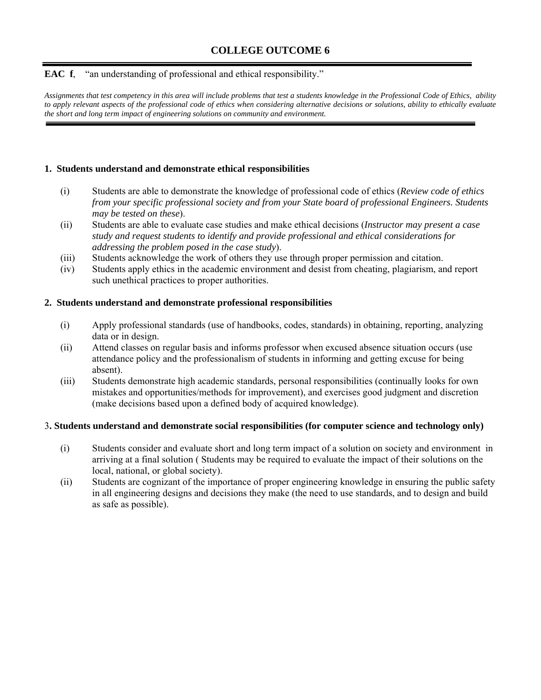# **EAC f**, "an understanding of professional and ethical responsibility."

*Assignments that test competency in this area will include problems that test a students knowledge in the Professional Code of Ethics, ability to apply relevant aspects of the professional code of ethics when considering alternative decisions or solutions, ability to ethically evaluate the short and long term impact of engineering solutions on community and environment.* 

# **1. Students understand and demonstrate ethical responsibilities**

- (i) Students are able to demonstrate the knowledge of professional code of ethics (*Review code of ethics from your specific professional society and from your State board of professional Engineers. Students may be tested on these*).
- (ii) Students are able to evaluate case studies and make ethical decisions (*Instructor may present a case study and request students to identify and provide professional and ethical considerations for addressing the problem posed in the case study*).
- (iii) Students acknowledge the work of others they use through proper permission and citation.
- (iv) Students apply ethics in the academic environment and desist from cheating, plagiarism, and report such unethical practices to proper authorities.

### **2. Students understand and demonstrate professional responsibilities**

- (i) Apply professional standards (use of handbooks, codes, standards) in obtaining, reporting, analyzing data or in design.
- (ii) Attend classes on regular basis and informs professor when excused absence situation occurs (use attendance policy and the professionalism of students in informing and getting excuse for being absent).
- (iii) Students demonstrate high academic standards, personal responsibilities (continually looks for own mistakes and opportunities/methods for improvement), and exercises good judgment and discretion (make decisions based upon a defined body of acquired knowledge).

### 3**. Students understand and demonstrate social responsibilities (for computer science and technology only)**

- (i) Students consider and evaluate short and long term impact of a solution on society and environment in arriving at a final solution ( Students may be required to evaluate the impact of their solutions on the local, national, or global society).
- (ii) Students are cognizant of the importance of proper engineering knowledge in ensuring the public safety in all engineering designs and decisions they make (the need to use standards, and to design and build as safe as possible).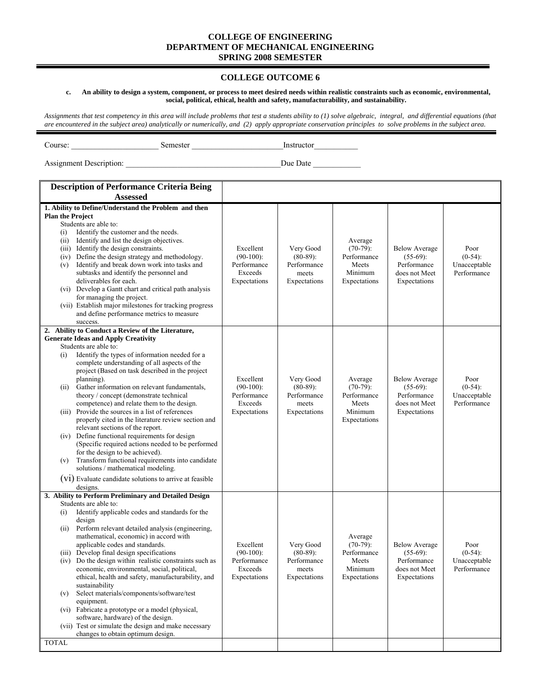#### **COLLEGE OUTCOME 6**

#### **c. An ability to design a system, component, or process to meet desired needs within realistic constraints such as economic, environmental, social, political, ethical, health and safety, manufacturability, and sustainability.**

*Assignments that test competency in this area will include problems that test a students ability to (1) solve algebraic, integral, and differential equations (that are encountered in the subject area) analytically or numerically, and (2) apply appropriate conservation principles to solve problems in the subject area.* 

Assignment Description: \_\_\_\_\_\_\_\_\_\_\_\_\_\_\_\_\_\_\_\_\_\_\_\_\_\_\_\_\_\_\_\_\_\_\_\_\_\_\_Due Date \_\_\_\_\_\_\_\_\_\_\_\_

Course: \_\_\_\_\_\_\_\_\_\_\_\_\_\_\_\_\_\_\_\_\_\_ Semester \_\_\_\_\_\_\_\_\_\_\_\_\_\_\_\_\_\_\_\_\_\_\_Instructor\_\_\_\_\_\_\_\_\_\_\_

| <b>Description of Performance Criteria Being</b>                                                                                                                                                                                                                                                                                                                                                                                                                                                                                                                                                                                                                                                                                 |                                                                     |                                                                  |                                                                           |                                                                                     |                                                   |
|----------------------------------------------------------------------------------------------------------------------------------------------------------------------------------------------------------------------------------------------------------------------------------------------------------------------------------------------------------------------------------------------------------------------------------------------------------------------------------------------------------------------------------------------------------------------------------------------------------------------------------------------------------------------------------------------------------------------------------|---------------------------------------------------------------------|------------------------------------------------------------------|---------------------------------------------------------------------------|-------------------------------------------------------------------------------------|---------------------------------------------------|
| <b>Assessed</b>                                                                                                                                                                                                                                                                                                                                                                                                                                                                                                                                                                                                                                                                                                                  |                                                                     |                                                                  |                                                                           |                                                                                     |                                                   |
| 1. Ability to Define/Understand the Problem and then<br><b>Plan the Project</b><br>Students are able to:<br>Identify the customer and the needs.<br>(i)<br>Identify and list the design objectives.<br>(ii)<br>(iii) Identify the design constraints.<br>Define the design strategy and methodology.<br>(iv)<br>Identify and break down work into tasks and<br>(v)<br>subtasks and identify the personnel and<br>deliverables for each.<br>(vi) Develop a Gantt chart and critical path analysis<br>for managing the project.<br>(vii) Establish major milestones for tracking progress<br>and define performance metrics to measure<br>success.                                                                                 | Excellent<br>$(90-100)$ :<br>Performance<br>Exceeds<br>Expectations | Very Good<br>$(80-89)$ :<br>Performance<br>meets<br>Expectations | Average<br>$(70-79)$ :<br>Performance<br>Meets<br>Minimum<br>Expectations | <b>Below Average</b><br>$(55-69)$ :<br>Performance<br>does not Meet<br>Expectations | Poor<br>$(0-54)$ :<br>Unacceptable<br>Performance |
| 2. Ability to Conduct a Review of the Literature,                                                                                                                                                                                                                                                                                                                                                                                                                                                                                                                                                                                                                                                                                |                                                                     |                                                                  |                                                                           |                                                                                     |                                                   |
| <b>Generate Ideas and Apply Creativity</b><br>Students are able to:<br>Identify the types of information needed for a<br>(i)<br>complete understanding of all aspects of the<br>project (Based on task described in the project<br>planning).<br>Gather information on relevant fundamentals,<br>(ii)<br>theory / concept (demonstrate technical<br>competence) and relate them to the design.<br>(iii) Provide the sources in a list of references<br>properly cited in the literature review section and<br>relevant sections of the report.<br>(iv) Define functional requirements for design<br>(Specific required actions needed to be performed<br>for the design to be achieved).                                         | Excellent<br>$(90-100)$ :<br>Performance<br>Exceeds<br>Expectations | Very Good<br>$(80-89)$ :<br>Performance<br>meets<br>Expectations | Average<br>$(70-79)$ :<br>Performance<br>Meets<br>Minimum<br>Expectations | <b>Below Average</b><br>$(55-69)$ :<br>Performance<br>does not Meet<br>Expectations | Poor<br>$(0-54)$ :<br>Unacceptable<br>Performance |
| Transform functional requirements into candidate<br>(v)<br>solutions / mathematical modeling.<br>(V1) Evaluate candidate solutions to arrive at feasible<br>designs.                                                                                                                                                                                                                                                                                                                                                                                                                                                                                                                                                             |                                                                     |                                                                  |                                                                           |                                                                                     |                                                   |
| 3. Ability to Perform Preliminary and Detailed Design                                                                                                                                                                                                                                                                                                                                                                                                                                                                                                                                                                                                                                                                            |                                                                     |                                                                  |                                                                           |                                                                                     |                                                   |
| Students are able to:<br>Identify applicable codes and standards for the<br>(i)<br>design<br>Perform relevant detailed analysis (engineering,<br>(ii)<br>mathematical, economic) in accord with<br>applicable codes and standards.<br>Develop final design specifications<br>(iii)<br>Do the design within realistic constraints such as<br>(iv)<br>economic, environmental, social, political,<br>ethical, health and safety, manufacturability, and<br>sustainability<br>Select materials/components/software/test<br>(v)<br>equipment.<br>(vi) Fabricate a prototype or a model (physical,<br>software, hardware) of the design.<br>(vii) Test or simulate the design and make necessary<br>changes to obtain optimum design. | Excellent<br>$(90-100)$ :<br>Performance<br>Exceeds<br>Expectations | Very Good<br>$(80-89)$ :<br>Performance<br>meets<br>Expectations | Average<br>$(70-79)$ :<br>Performance<br>Meets<br>Minimum<br>Expectations | <b>Below Average</b><br>$(55-69)$ :<br>Performance<br>does not Meet<br>Expectations | Poor<br>$(0-54)$ :<br>Unacceptable<br>Performance |
| <b>TOTAL</b>                                                                                                                                                                                                                                                                                                                                                                                                                                                                                                                                                                                                                                                                                                                     |                                                                     |                                                                  |                                                                           |                                                                                     |                                                   |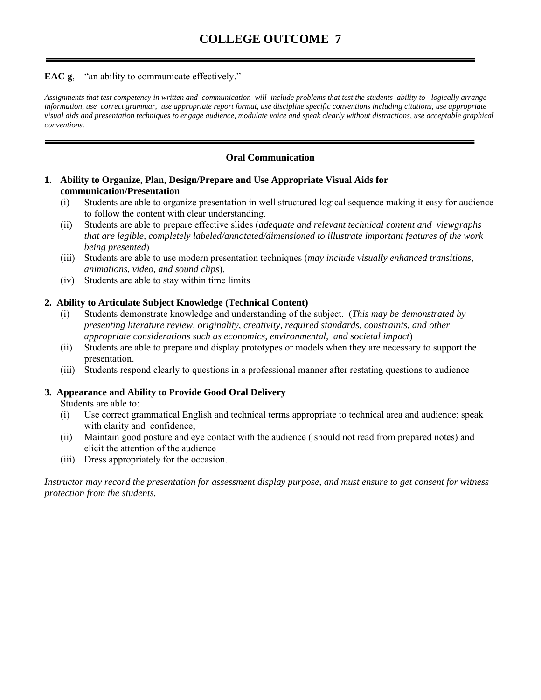# **EAC g**, "an ability to communicate effectively."

*Assignments that test competency in written and communication will include problems that test the students ability to logically arrange information, use correct grammar, use appropriate report format, use discipline specific conventions including citations, use appropriate visual aids and presentation techniques to engage audience, modulate voice and speak clearly without distractions, use acceptable graphical conventions.* 

# **Oral Communication**

# **1. Ability to Organize, Plan, Design/Prepare and Use Appropriate Visual Aids for communication/Presentation**

- (i) Students are able to organize presentation in well structured logical sequence making it easy for audience to follow the content with clear understanding.
- (ii) Students are able to prepare effective slides (*adequate and relevant technical content and viewgraphs that are legible, completely labeled/annotated/dimensioned to illustrate important features of the work being presented*)
- (iii) Students are able to use modern presentation techniques (*may include visually enhanced transitions, animations, video, and sound clips*).
- (iv) Students are able to stay within time limits

# **2. Ability to Articulate Subject Knowledge (Technical Content)**

- (i) Students demonstrate knowledge and understanding of the subject. (*This may be demonstrated by presenting literature review, originality, creativity, required standards, constraints, and other appropriate considerations such as economics, environmental, and societal impact*)
- (ii) Students are able to prepare and display prototypes or models when they are necessary to support the presentation.
- (iii) Students respond clearly to questions in a professional manner after restating questions to audience

# **3. Appearance and Ability to Provide Good Oral Delivery**

Students are able to:

- (i) Use correct grammatical English and technical terms appropriate to technical area and audience; speak with clarity and confidence;
- (ii) Maintain good posture and eye contact with the audience ( should not read from prepared notes) and elicit the attention of the audience
- (iii) Dress appropriately for the occasion.

*Instructor may record the presentation for assessment display purpose, and must ensure to get consent for witness protection from the students.*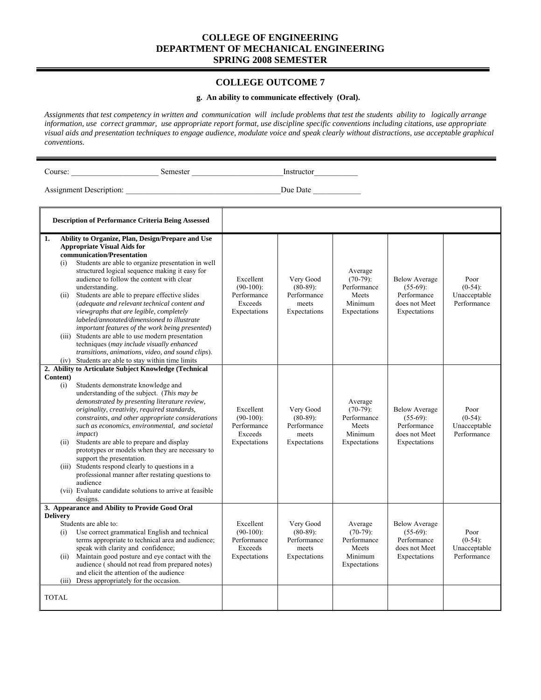#### **COLLEGE OUTCOME 7**

#### **g. An ability to communicate effectively (Oral).**

*Assignments that test competency in written and communication will include problems that test the students ability to logically arrange information, use correct grammar, use appropriate report format, use discipline specific conventions including citations, use appropriate visual aids and presentation techniques to engage audience, modulate voice and speak clearly without distractions, use acceptable graphical conventions.* 

Course: \_\_\_\_\_\_\_\_\_\_\_\_\_\_\_\_\_\_\_\_\_\_ Semester \_\_\_\_\_\_\_\_\_\_\_\_\_\_\_\_\_\_\_\_\_\_\_Instructor\_\_\_\_\_\_\_\_\_\_\_

| <b>Description of Performance Criteria Being Assessed</b>                                                                                                                                                                                                                                                                                                                                                                                                                                                                                                                                                                                                                                                                                                                    |                                                                     |                                                                  |                                                                           |                                                                                     |                                                   |
|------------------------------------------------------------------------------------------------------------------------------------------------------------------------------------------------------------------------------------------------------------------------------------------------------------------------------------------------------------------------------------------------------------------------------------------------------------------------------------------------------------------------------------------------------------------------------------------------------------------------------------------------------------------------------------------------------------------------------------------------------------------------------|---------------------------------------------------------------------|------------------------------------------------------------------|---------------------------------------------------------------------------|-------------------------------------------------------------------------------------|---------------------------------------------------|
| Ability to Organize, Plan, Design/Prepare and Use<br>1.<br><b>Appropriate Visual Aids for</b><br>communication/Presentation<br>Students are able to organize presentation in well<br>(i)<br>structured logical sequence making it easy for<br>audience to follow the content with clear<br>understanding.<br>Students are able to prepare effective slides<br>(ii)<br>(adequate and relevant technical content and<br>viewgraphs that are legible, completely<br>labeled/annotated/dimensioned to illustrate<br>important features of the work being presented)<br>(iii) Students are able to use modern presentation<br>techniques (may include visually enhanced<br>transitions, animations, video, and sound clips).<br>(iv) Students are able to stay within time limits | Excellent<br>$(90-100)$ :<br>Performance<br>Exceeds<br>Expectations | Very Good<br>$(80-89)$ :<br>Performance<br>meets<br>Expectations | Average<br>$(70-79)$ :<br>Performance<br>Meets<br>Minimum<br>Expectations | <b>Below Average</b><br>$(55-69)$ :<br>Performance<br>does not Meet<br>Expectations | Poor<br>$(0-54)$ :<br>Unacceptable<br>Performance |
| 2. Ability to Articulate Subject Knowledge (Technical<br>Content)<br>Students demonstrate knowledge and<br>(i)<br>understanding of the subject. (This may be<br>demonstrated by presenting literature review,<br>originality, creativity, required standards,<br>constraints, and other appropriate considerations<br>such as economics, environmental, and societal<br><i>impact</i> )<br>Students are able to prepare and display<br>(ii)<br>prototypes or models when they are necessary to<br>support the presentation.<br>(iii) Students respond clearly to questions in a<br>professional manner after restating questions to<br>audience<br>(vii) Evaluate candidate solutions to arrive at feasible<br>designs.                                                      | Excellent<br>$(90-100)$ :<br>Performance<br>Exceeds<br>Expectations | Very Good<br>$(80-89)$ :<br>Performance<br>meets<br>Expectations | Average<br>$(70-79)$ :<br>Performance<br>Meets<br>Minimum<br>Expectations | <b>Below Average</b><br>$(55-69)$ :<br>Performance<br>does not Meet<br>Expectations | Poor<br>$(0-54)$ :<br>Unacceptable<br>Performance |
| 3. Appearance and Ability to Provide Good Oral<br><b>Delivery</b><br>Students are able to:<br>Use correct grammatical English and technical<br>(i)<br>terms appropriate to technical area and audience;<br>speak with clarity and confidence;<br>Maintain good posture and eye contact with the<br>(ii)<br>audience (should not read from prepared notes)<br>and elicit the attention of the audience<br>Dress appropriately for the occasion.<br>(iii)                                                                                                                                                                                                                                                                                                                      | Excellent<br>$(90-100)$ :<br>Performance<br>Exceeds<br>Expectations | Very Good<br>$(80-89)$ :<br>Performance<br>meets<br>Expectations | Average<br>$(70-79)$ :<br>Performance<br>Meets<br>Minimum<br>Expectations | <b>Below Average</b><br>$(55-69)$ :<br>Performance<br>does not Meet<br>Expectations | Poor<br>$(0-54)$ :<br>Unacceptable<br>Performance |
| <b>TOTAL</b>                                                                                                                                                                                                                                                                                                                                                                                                                                                                                                                                                                                                                                                                                                                                                                 |                                                                     |                                                                  |                                                                           |                                                                                     |                                                   |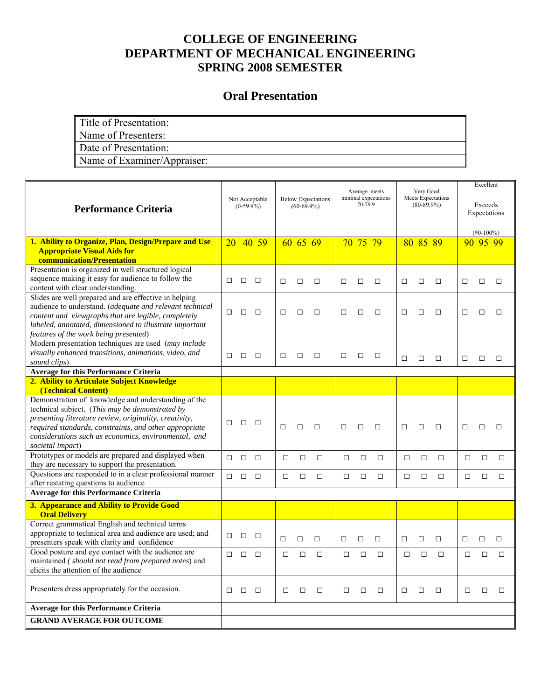# **Oral Presentation**

| Title of Presentation:      |
|-----------------------------|
| Name of Presenters:         |
| Date of Presentation:       |
| Name of Examiner/Appraiser: |

| <b>Performance Criteria</b>                                                                                    | Not Acceptable<br>$(0-59.9\%)$ |        |        |        |          |        |        |          |        |        |          |        | <b>Below Expectations</b><br>$(60-69.9\%)$ |              |        | Average meets<br>70-799 | minimal expectations | Very Good<br><b>Meets Expectations</b><br>$(80-89.9\%)$ |  | Excellent<br>Exceeds<br>Expectations |  |  |
|----------------------------------------------------------------------------------------------------------------|--------------------------------|--------|--------|--------|----------|--------|--------|----------|--------|--------|----------|--------|--------------------------------------------|--------------|--------|-------------------------|----------------------|---------------------------------------------------------|--|--------------------------------------|--|--|
|                                                                                                                |                                |        |        |        |          |        |        |          |        |        |          |        |                                            | $(90-100\%)$ |        |                         |                      |                                                         |  |                                      |  |  |
| 1. Ability to Organize, Plan, Design/Prepare and Use                                                           | 20                             |        | 40 59  |        | 60 65 69 |        |        | 70 75 79 |        |        | 80 85 89 |        |                                            | 90 95 99     |        |                         |                      |                                                         |  |                                      |  |  |
| <b>Appropriate Visual Aids for</b>                                                                             |                                |        |        |        |          |        |        |          |        |        |          |        |                                            |              |        |                         |                      |                                                         |  |                                      |  |  |
| communication/Presentation                                                                                     |                                |        |        |        |          |        |        |          |        |        |          |        |                                            |              |        |                         |                      |                                                         |  |                                      |  |  |
| Presentation is organized in well structured logical                                                           |                                |        |        |        |          |        |        |          |        |        |          |        |                                            |              |        |                         |                      |                                                         |  |                                      |  |  |
| sequence making it easy for audience to follow the                                                             | $\Box$                         | $\Box$ | $\Box$ | $\Box$ | $\Box$   | $\Box$ | $\Box$ | $\Box$   | $\Box$ | $\Box$ | $\Box$   | $\Box$ | $\Box$                                     | П            | $\Box$ |                         |                      |                                                         |  |                                      |  |  |
| content with clear understanding.                                                                              |                                |        |        |        |          |        |        |          |        |        |          |        |                                            |              |        |                         |                      |                                                         |  |                                      |  |  |
| Slides are well prepared and are effective in helping                                                          |                                |        |        |        |          |        |        |          |        |        |          |        |                                            |              |        |                         |                      |                                                         |  |                                      |  |  |
| audience to understand. (adequate and relevant technical                                                       | П.                             | $\Box$ | $\Box$ | □      | $\Box$   | □      | □      | $\Box$   | $\Box$ | □      | □        | П      | $\Box$                                     | □            | $\Box$ |                         |                      |                                                         |  |                                      |  |  |
| content and viewgraphs that are legible, completely<br>labeled, annotated, dimensioned to illustrate important |                                |        |        |        |          |        |        |          |        |        |          |        |                                            |              |        |                         |                      |                                                         |  |                                      |  |  |
| features of the work being presented)                                                                          |                                |        |        |        |          |        |        |          |        |        |          |        |                                            |              |        |                         |                      |                                                         |  |                                      |  |  |
| Modern presentation techniques are used (may include                                                           |                                |        |        |        |          |        |        |          |        |        |          |        |                                            |              |        |                         |                      |                                                         |  |                                      |  |  |
| visually enhanced transitions, animations, video, and                                                          |                                |        |        |        |          |        |        |          |        |        |          |        |                                            |              |        |                         |                      |                                                         |  |                                      |  |  |
| sound clips).                                                                                                  | п                              | П      | $\Box$ | п      | П        | $\Box$ | Л      | П        | $\Box$ | П      | П        | $\Box$ | $\Box$                                     | П            | П      |                         |                      |                                                         |  |                                      |  |  |
| <b>Average for this Performance Criteria</b>                                                                   |                                |        |        |        |          |        |        |          |        |        |          |        |                                            |              |        |                         |                      |                                                         |  |                                      |  |  |
| 2. Ability to Articulate Subject Knowledge                                                                     |                                |        |        |        |          |        |        |          |        |        |          |        |                                            |              |        |                         |                      |                                                         |  |                                      |  |  |
| (Technical Content)                                                                                            |                                |        |        |        |          |        |        |          |        |        |          |        |                                            |              |        |                         |                      |                                                         |  |                                      |  |  |
| Demonstration of knowledge and understanding of the                                                            |                                |        |        |        |          |        |        |          |        |        |          |        |                                            |              |        |                         |                      |                                                         |  |                                      |  |  |
| technical subject. (This may be demonstrated by                                                                |                                |        |        |        |          |        |        |          |        |        |          |        |                                            |              |        |                         |                      |                                                         |  |                                      |  |  |
| presenting literature review, originality, creativity,                                                         |                                |        |        |        |          |        |        |          |        |        |          |        |                                            |              |        |                         |                      |                                                         |  |                                      |  |  |
| required standards, constraints, and other appropriate                                                         | □                              | $\Box$ | $\Box$ | П      | $\Box$   | $\Box$ | $\Box$ | П        | $\Box$ | П      | П        | $\Box$ | $\Box$                                     | $\Box$       | $\Box$ |                         |                      |                                                         |  |                                      |  |  |
| considerations such as economics, environmental, and                                                           |                                |        |        |        |          |        |        |          |        |        |          |        |                                            |              |        |                         |                      |                                                         |  |                                      |  |  |
| societal impact)                                                                                               |                                |        |        |        |          |        |        |          |        |        |          |        |                                            |              |        |                         |                      |                                                         |  |                                      |  |  |
| Prototypes or models are prepared and displayed when                                                           | $\Box$                         | $\Box$ | $\Box$ | $\Box$ | $\Box$   | $\Box$ | □      | $\Box$   | $\Box$ | □      | $\Box$   | $\Box$ | $\Box$                                     | $\Box$       | $\Box$ |                         |                      |                                                         |  |                                      |  |  |
| they are necessary to support the presentation.                                                                |                                |        |        |        |          |        |        |          |        |        |          |        |                                            |              |        |                         |                      |                                                         |  |                                      |  |  |
| Questions are responded to in a clear professional manner                                                      | $\Box$                         | $\Box$ | $\Box$ | $\Box$ | $\Box$   | $\Box$ | $\Box$ | $\Box$   | $\Box$ | $\Box$ | $\Box$   | $\Box$ | $\Box$                                     | $\Box$       | $\Box$ |                         |                      |                                                         |  |                                      |  |  |
| after restating questions to audience                                                                          |                                |        |        |        |          |        |        |          |        |        |          |        |                                            |              |        |                         |                      |                                                         |  |                                      |  |  |
| <b>Average for this Performance Criteria</b>                                                                   |                                |        |        |        |          |        |        |          |        |        |          |        |                                            |              |        |                         |                      |                                                         |  |                                      |  |  |
| 3. Appearance and Ability to Provide Good<br><b>Oral Delivery</b>                                              |                                |        |        |        |          |        |        |          |        |        |          |        |                                            |              |        |                         |                      |                                                         |  |                                      |  |  |
| Correct grammatical English and technical terms                                                                |                                |        |        |        |          |        |        |          |        |        |          |        |                                            |              |        |                         |                      |                                                         |  |                                      |  |  |
| appropriate to technical area and audience are used; and                                                       | П.                             | $\Box$ | $\Box$ | П      | $\Box$   | $\Box$ | $\Box$ | $\Box$   | $\Box$ | □      | $\Box$   | $\Box$ | $\Box$                                     | □            | $\Box$ |                         |                      |                                                         |  |                                      |  |  |
| presenters speak with clarity and confidence                                                                   |                                |        |        |        |          |        |        |          |        |        |          |        |                                            |              |        |                         |                      |                                                         |  |                                      |  |  |
| Good posture and eye contact with the audience are                                                             | П.                             | $\Box$ | $\Box$ | $\Box$ | $\Box$   | $\Box$ | $\Box$ | $\Box$   | $\Box$ | $\Box$ | $\Box$   | $\Box$ | $\Box$                                     | $\Box$       | $\Box$ |                         |                      |                                                         |  |                                      |  |  |
| maintained (should not read from prepared notes) and                                                           |                                |        |        |        |          |        |        |          |        |        |          |        |                                            |              |        |                         |                      |                                                         |  |                                      |  |  |
| elicits the attention of the audience                                                                          |                                |        |        |        |          |        |        |          |        |        |          |        |                                            |              |        |                         |                      |                                                         |  |                                      |  |  |
| Presenters dress appropriately for the occasion.                                                               | П.                             | $\Box$ | $\Box$ | П      | П        | $\Box$ | П      | П        | $\Box$ | $\Box$ | $\Box$   | $\Box$ | П                                          | п            | $\Box$ |                         |                      |                                                         |  |                                      |  |  |
| <b>Average for this Performance Criteria</b>                                                                   |                                |        |        |        |          |        |        |          |        |        |          |        |                                            |              |        |                         |                      |                                                         |  |                                      |  |  |
| <b>GRAND AVERAGE FOR OUTCOME</b>                                                                               |                                |        |        |        |          |        |        |          |        |        |          |        |                                            |              |        |                         |                      |                                                         |  |                                      |  |  |
|                                                                                                                |                                |        |        |        |          |        |        |          |        |        |          |        |                                            |              |        |                         |                      |                                                         |  |                                      |  |  |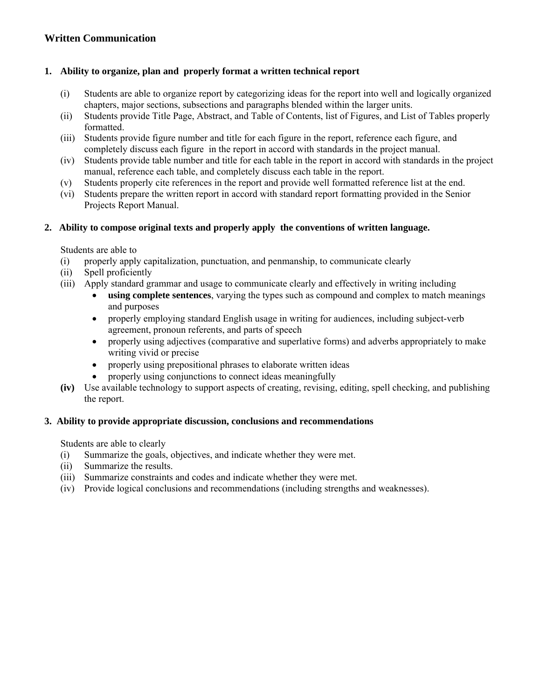# **Written Communication**

# **1. Ability to organize, plan and properly format a written technical report**

- (i) Students are able to organize report by categorizing ideas for the report into well and logically organized chapters, major sections, subsections and paragraphs blended within the larger units.
- (ii) Students provide Title Page, Abstract, and Table of Contents, list of Figures, and List of Tables properly formatted.
- (iii) Students provide figure number and title for each figure in the report, reference each figure, and completely discuss each figure in the report in accord with standards in the project manual.
- (iv) Students provide table number and title for each table in the report in accord with standards in the project manual, reference each table, and completely discuss each table in the report.
- (v) Students properly cite references in the report and provide well formatted reference list at the end.
- (vi) Students prepare the written report in accord with standard report formatting provided in the Senior Projects Report Manual.

# **2. Ability to compose original texts and properly apply the conventions of written language.**

Students are able to

- (i) properly apply capitalization, punctuation, and penmanship, to communicate clearly
- (ii) Spell proficiently
- (iii) Apply standard grammar and usage to communicate clearly and effectively in writing including
	- **using complete sentences**, varying the types such as compound and complex to match meanings and purposes
	- properly employing standard English usage in writing for audiences, including subject-verb agreement, pronoun referents, and parts of speech
	- properly using adjectives (comparative and superlative forms) and adverbs appropriately to make writing vivid or precise
	- properly using prepositional phrases to elaborate written ideas
		- properly using conjunctions to connect ideas meaningfully
- **(iv)** Use available technology to support aspects of creating, revising, editing, spell checking, and publishing the report.

# **3. Ability to provide appropriate discussion, conclusions and recommendations**

Students are able to clearly

- (i) Summarize the goals, objectives, and indicate whether they were met.
- (ii) Summarize the results.
- (iii) Summarize constraints and codes and indicate whether they were met.
- (iv) Provide logical conclusions and recommendations (including strengths and weaknesses).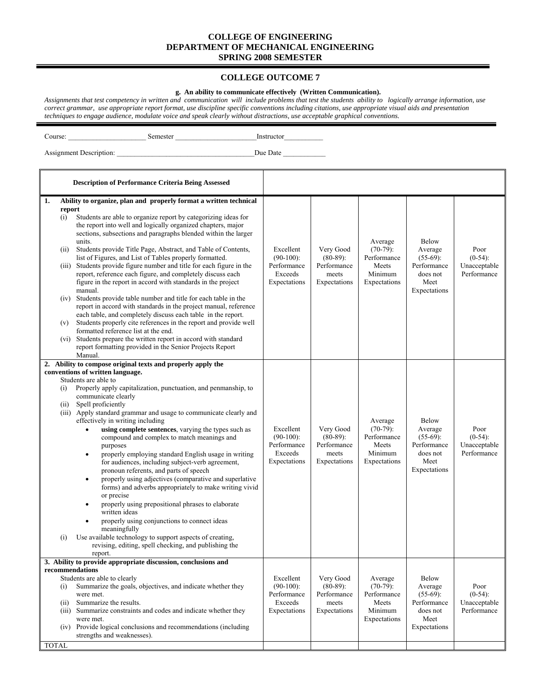#### **COLLEGE OUTCOME 7**

# **g. An ability to communicate effectively (Written Communication).**

*Assignments that test competency in written and communication will include problems that test the students ability to logically arrange information, use correct grammar, use appropriate report format, use discipline specific conventions including citations, use appropriate visual aids and presentation techniques to engage audience, modulate voice and speak clearly without distractions, use acceptable graphical conventions.* 

Course: \_\_\_\_\_\_\_\_\_\_\_\_\_\_\_\_\_\_\_\_\_\_ Semester \_\_\_\_\_\_\_\_\_\_\_\_\_\_\_\_\_\_\_\_\_\_\_Instructor\_\_\_\_\_\_\_\_\_\_\_

|                    | <b>Description of Performance Criteria Being Assessed</b>                                                                                                                                                                                                                                                                                                                                                                                                                                                                                                                                                                                                                                                                                                                                                                                                                                                                                                                         |                                                                     |                                                                  |                                                                           |                                                                                           |                                                   |
|--------------------|-----------------------------------------------------------------------------------------------------------------------------------------------------------------------------------------------------------------------------------------------------------------------------------------------------------------------------------------------------------------------------------------------------------------------------------------------------------------------------------------------------------------------------------------------------------------------------------------------------------------------------------------------------------------------------------------------------------------------------------------------------------------------------------------------------------------------------------------------------------------------------------------------------------------------------------------------------------------------------------|---------------------------------------------------------------------|------------------------------------------------------------------|---------------------------------------------------------------------------|-------------------------------------------------------------------------------------------|---------------------------------------------------|
| 1.                 | Ability to organize, plan and properly format a written technical<br>report                                                                                                                                                                                                                                                                                                                                                                                                                                                                                                                                                                                                                                                                                                                                                                                                                                                                                                       |                                                                     |                                                                  |                                                                           |                                                                                           |                                                   |
| (i)                | Students are able to organize report by categorizing ideas for<br>the report into well and logically organized chapters, major<br>sections, subsections and paragraphs blended within the larger<br>units.                                                                                                                                                                                                                                                                                                                                                                                                                                                                                                                                                                                                                                                                                                                                                                        |                                                                     |                                                                  | Average                                                                   | <b>Below</b>                                                                              |                                                   |
| (ii)               | Students provide Title Page, Abstract, and Table of Contents,<br>list of Figures, and List of Tables properly formatted.                                                                                                                                                                                                                                                                                                                                                                                                                                                                                                                                                                                                                                                                                                                                                                                                                                                          | Excellent<br>$(90-100)$ :                                           | Very Good<br>$(80-89)$ :                                         | $(70-79)$ :<br>Performance                                                | Average<br>$(55-69)$ :                                                                    | Poor<br>$(0-54)$ :                                |
|                    | (iii) Students provide figure number and title for each figure in the<br>report, reference each figure, and completely discuss each<br>figure in the report in accord with standards in the project<br>manual.                                                                                                                                                                                                                                                                                                                                                                                                                                                                                                                                                                                                                                                                                                                                                                    | Performance<br>Exceeds<br>Expectations                              | Performance<br>meets<br>Expectations                             | Meets<br>Minimum<br>Expectations                                          | Performance<br>does not<br>Meet<br>Expectations                                           | Unacceptable<br>Performance                       |
|                    | (iv) Students provide table number and title for each table in the<br>report in accord with standards in the project manual, reference<br>each table, and completely discuss each table in the report.                                                                                                                                                                                                                                                                                                                                                                                                                                                                                                                                                                                                                                                                                                                                                                            |                                                                     |                                                                  |                                                                           |                                                                                           |                                                   |
| (v)                | Students properly cite references in the report and provide well<br>formatted reference list at the end.                                                                                                                                                                                                                                                                                                                                                                                                                                                                                                                                                                                                                                                                                                                                                                                                                                                                          |                                                                     |                                                                  |                                                                           |                                                                                           |                                                   |
|                    | (vi) Students prepare the written report in accord with standard<br>report formatting provided in the Senior Projects Report<br>Manual.                                                                                                                                                                                                                                                                                                                                                                                                                                                                                                                                                                                                                                                                                                                                                                                                                                           |                                                                     |                                                                  |                                                                           |                                                                                           |                                                   |
| 2.                 | Ability to compose original texts and properly apply the                                                                                                                                                                                                                                                                                                                                                                                                                                                                                                                                                                                                                                                                                                                                                                                                                                                                                                                          |                                                                     |                                                                  |                                                                           |                                                                                           |                                                   |
| (i)<br>(ii)<br>(i) | conventions of written language.<br>Students are able to<br>Properly apply capitalization, punctuation, and penmanship, to<br>communicate clearly<br>Spell proficiently<br>(iii) Apply standard grammar and usage to communicate clearly and<br>effectively in writing including<br>using complete sentences, varying the types such as<br>compound and complex to match meanings and<br>purposes<br>properly employing standard English usage in writing<br>٠<br>for audiences, including subject-verb agreement,<br>pronoun referents, and parts of speech<br>properly using adjectives (comparative and superlative<br>$\bullet$<br>forms) and adverbs appropriately to make writing vivid<br>or precise<br>properly using prepositional phrases to elaborate<br>written ideas<br>properly using conjunctions to connect ideas<br>meaningfully<br>Use available technology to support aspects of creating,<br>revising, editing, spell checking, and publishing the<br>report. | Excellent<br>$(90-100)$ :<br>Performance<br>Exceeds<br>Expectations | Very Good<br>$(80-89)$ :<br>Performance<br>meets<br>Expectations | Average<br>$(70-79)$ :<br>Performance<br>Meets<br>Minimum<br>Expectations | <b>Below</b><br>Average<br>$(55-69)$ :<br>Performance<br>does not<br>Meet<br>Expectations | Poor<br>$(0-54)$ :<br>Unacceptable<br>Performance |
| (i)<br>(ii)        | 3. Ability to provide appropriate discussion, conclusions and<br>recommendations<br>Students are able to clearly<br>Summarize the goals, objectives, and indicate whether they<br>were met.<br>Summarize the results.<br>(iii) Summarize constraints and codes and indicate whether they<br>were met.<br>(iv) Provide logical conclusions and recommendations (including<br>strengths and weaknesses).                                                                                                                                                                                                                                                                                                                                                                                                                                                                                                                                                                            | Excellent<br>$(90-100)$ :<br>Performance<br>Exceeds<br>Expectations | Very Good<br>$(80-89)$ :<br>Performance<br>meets<br>Expectations | Average<br>$(70-79)$ :<br>Performance<br>Meets<br>Minimum<br>Expectations | Below<br>Average<br>$(55-69)$ :<br>Performance<br>does not<br>Meet<br>Expectations        | Poor<br>$(0-54)$ :<br>Unacceptable<br>Performance |
| <b>TOTAL</b>       |                                                                                                                                                                                                                                                                                                                                                                                                                                                                                                                                                                                                                                                                                                                                                                                                                                                                                                                                                                                   |                                                                     |                                                                  |                                                                           |                                                                                           |                                                   |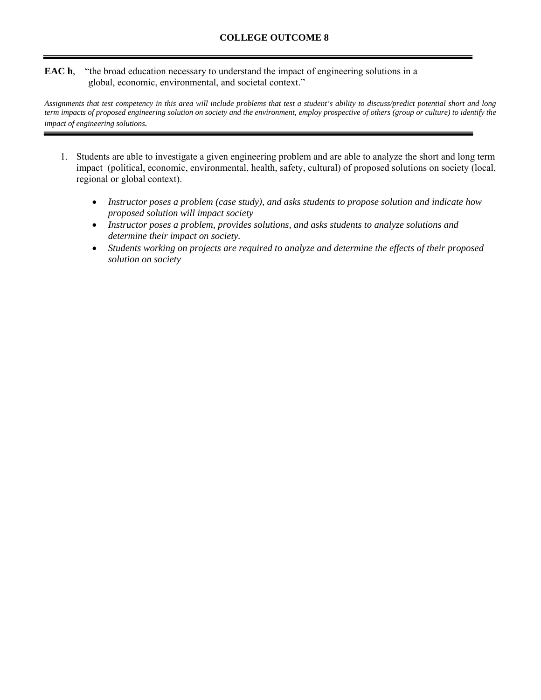## **EAC h**, "the broad education necessary to understand the impact of engineering solutions in a global, economic, environmental, and societal context."

*Assignments that test competency in this area will include problems that test a student's ability to discuss/predict potential short and long term impacts of proposed engineering solution on society and the environment, employ prospective of others (group or culture) to identify the impact of engineering solutions.* 

- 1. Students are able to investigate a given engineering problem and are able to analyze the short and long term impact (political, economic, environmental, health, safety, cultural) of proposed solutions on society (local, regional or global context).
	- *Instructor poses a problem (case study), and asks students to propose solution and indicate how proposed solution will impact society*
	- *Instructor poses a problem, provides solutions, and asks students to analyze solutions and determine their impact on society.*
	- *Students working on projects are required to analyze and determine the effects of their proposed solution on society*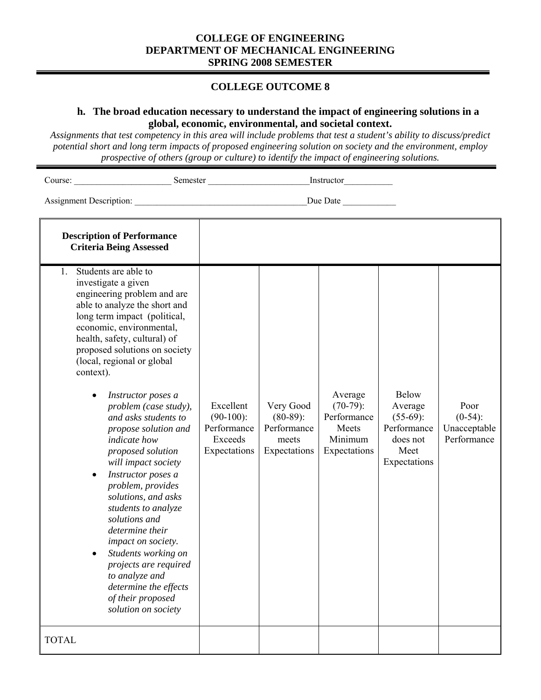# **COLLEGE OUTCOME 8**

# **h. The broad education necessary to understand the impact of engineering solutions in a global, economic, environmental, and societal context.**

*Assignments that test competency in this area will include problems that test a student's ability to discuss/predict potential short and long term impacts of proposed engineering solution on society and the environment, employ prospective of others (group or culture) to identify the impact of engineering solutions.* 

Course: \_\_\_\_\_\_\_\_\_\_\_\_\_\_\_\_\_\_\_\_\_\_ Semester \_\_\_\_\_\_\_\_\_\_\_\_\_\_\_\_\_\_\_\_\_\_\_Instructor\_\_\_\_\_\_\_\_\_\_\_

| <b>Description of Performance</b><br><b>Criteria Being Assessed</b>                                                                                                                                                                                                                                                                                                                                                                                                                                                                                                                                                                                                                                                                                 |                                                                     |                                                                  |                                                                           |                                                                                           |                                                   |
|-----------------------------------------------------------------------------------------------------------------------------------------------------------------------------------------------------------------------------------------------------------------------------------------------------------------------------------------------------------------------------------------------------------------------------------------------------------------------------------------------------------------------------------------------------------------------------------------------------------------------------------------------------------------------------------------------------------------------------------------------------|---------------------------------------------------------------------|------------------------------------------------------------------|---------------------------------------------------------------------------|-------------------------------------------------------------------------------------------|---------------------------------------------------|
| Students are able to<br>$1_{-}$<br>investigate a given<br>engineering problem and are<br>able to analyze the short and<br>long term impact (political,<br>economic, environmental,<br>health, safety, cultural) of<br>proposed solutions on society<br>(local, regional or global<br>context).<br>Instructor poses a<br>problem (case study),<br>and asks students to<br>propose solution and<br>indicate how<br>proposed solution<br>will impact society<br>Instructor poses a<br>problem, provides<br>solutions, and asks<br>students to analyze<br>solutions and<br>determine their<br>impact on society.<br>Students working on<br>projects are required<br>to analyze and<br>determine the effects<br>of their proposed<br>solution on society | Excellent<br>$(90-100)$ :<br>Performance<br>Exceeds<br>Expectations | Very Good<br>$(80-89)$ :<br>Performance<br>meets<br>Expectations | Average<br>$(70-79)$ :<br>Performance<br>Meets<br>Minimum<br>Expectations | <b>Below</b><br>Average<br>$(55-69)$ :<br>Performance<br>does not<br>Meet<br>Expectations | Poor<br>$(0-54)$ :<br>Unacceptable<br>Performance |
| <b>TOTAL</b>                                                                                                                                                                                                                                                                                                                                                                                                                                                                                                                                                                                                                                                                                                                                        |                                                                     |                                                                  |                                                                           |                                                                                           |                                                   |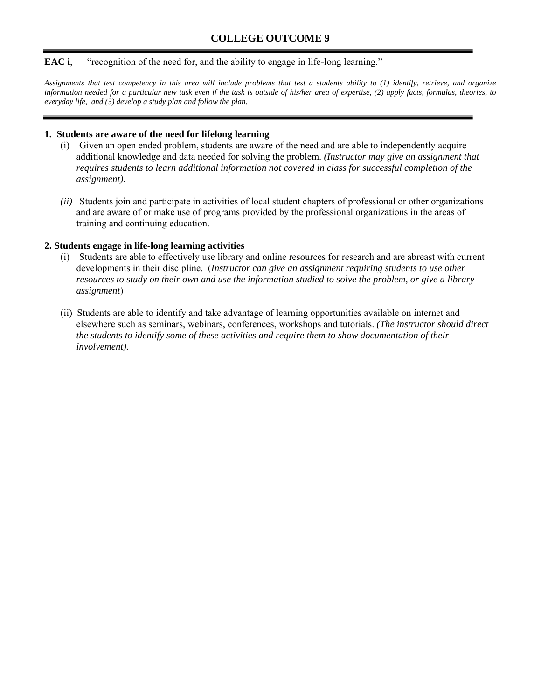#### **EAC i**, "recognition of the need for, and the ability to engage in life-long learning."

*Assignments that test competency in this area will include problems that test a students ability to (1) identify, retrieve, and organize information needed for a particular new task even if the task is outside of his/her area of expertise, (2) apply facts, formulas, theories, to everyday life, and (3) develop a study plan and follow the plan.* 

#### **1. Students are aware of the need for lifelong learning**

- (i) Given an open ended problem, students are aware of the need and are able to independently acquire additional knowledge and data needed for solving the problem. *(Instructor may give an assignment that requires students to learn additional information not covered in class for successful completion of the assignment).*
- *(ii)* Students join and participate in activities of local student chapters of professional or other organizations and are aware of or make use of programs provided by the professional organizations in the areas of training and continuing education.

#### **2. Students engage in life-long learning activities**

- (i) Students are able to effectively use library and online resources for research and are abreast with current developments in their discipline. (*Instructor can give an assignment requiring students to use other resources to study on their own and use the information studied to solve the problem, or give a library assignment*)
- (ii) Students are able to identify and take advantage of learning opportunities available on internet and elsewhere such as seminars, webinars, conferences, workshops and tutorials. *(The instructor should direct the students to identify some of these activities and require them to show documentation of their involvement).*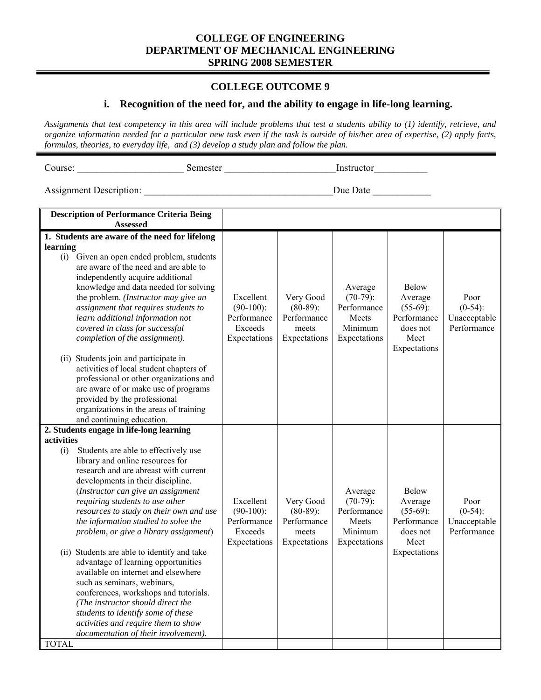### **COLLEGE OUTCOME 9**

# **i. Recognition of the need for, and the ability to engage in life-long learning.**

*Assignments that test competency in this area will include problems that test a students ability to (1) identify, retrieve, and organize information needed for a particular new task even if the task is outside of his/her area of expertise, (2) apply facts, formulas, theories, to everyday life, and (3) develop a study plan and follow the plan.* 

Course: \_\_\_\_\_\_\_\_\_\_\_\_\_\_\_\_\_\_\_\_\_\_ Semester \_\_\_\_\_\_\_\_\_\_\_\_\_\_\_\_\_\_\_\_\_\_\_Instructor\_\_\_\_\_\_\_\_\_\_\_

| <b>Description of Performance Criteria Being</b><br>Assessed                                                                                                                                                                                                                                                                                                                                                                                                                                                                                                                                                                                                                                                                                                     |                                                                     |                                                                  |                                                                           |                                                                                           |                                                   |
|------------------------------------------------------------------------------------------------------------------------------------------------------------------------------------------------------------------------------------------------------------------------------------------------------------------------------------------------------------------------------------------------------------------------------------------------------------------------------------------------------------------------------------------------------------------------------------------------------------------------------------------------------------------------------------------------------------------------------------------------------------------|---------------------------------------------------------------------|------------------------------------------------------------------|---------------------------------------------------------------------------|-------------------------------------------------------------------------------------------|---------------------------------------------------|
| 1. Students are aware of the need for lifelong                                                                                                                                                                                                                                                                                                                                                                                                                                                                                                                                                                                                                                                                                                                   |                                                                     |                                                                  |                                                                           |                                                                                           |                                                   |
| learning                                                                                                                                                                                                                                                                                                                                                                                                                                                                                                                                                                                                                                                                                                                                                         |                                                                     |                                                                  |                                                                           |                                                                                           |                                                   |
| (i) Given an open ended problem, students<br>are aware of the need and are able to<br>independently acquire additional<br>knowledge and data needed for solving<br>the problem. (Instructor may give an<br>assignment that requires students to<br>learn additional information not<br>covered in class for successful<br>completion of the assignment).<br>(ii) Students join and participate in<br>activities of local student chapters of<br>professional or other organizations and<br>are aware of or make use of programs<br>provided by the professional<br>organizations in the areas of training<br>and continuing education.                                                                                                                           | Excellent<br>$(90-100)$ :<br>Performance<br>Exceeds<br>Expectations | Very Good<br>$(80-89)$ :<br>Performance<br>meets<br>Expectations | Average<br>$(70-79)$ :<br>Performance<br>Meets<br>Minimum<br>Expectations | <b>Below</b><br>Average<br>$(55-69)$ :<br>Performance<br>does not<br>Meet<br>Expectations | Poor<br>$(0-54)$ :<br>Unacceptable<br>Performance |
| 2. Students engage in life-long learning                                                                                                                                                                                                                                                                                                                                                                                                                                                                                                                                                                                                                                                                                                                         |                                                                     |                                                                  |                                                                           |                                                                                           |                                                   |
| activities<br>Students are able to effectively use<br>(i)<br>library and online resources for<br>research and are abreast with current<br>developments in their discipline.<br>(Instructor can give an assignment<br>requiring students to use other<br>resources to study on their own and use<br>the information studied to solve the<br>problem, or give a library assignment)<br>(ii) Students are able to identify and take<br>advantage of learning opportunities<br>available on internet and elsewhere<br>such as seminars, webinars,<br>conferences, workshops and tutorials.<br>(The instructor should direct the<br>students to identify some of these<br>activities and require them to show<br>documentation of their involvement).<br><b>TOTAL</b> | Excellent<br>$(90-100)$ :<br>Performance<br>Exceeds<br>Expectations | Very Good<br>$(80-89)$ :<br>Performance<br>meets<br>Expectations | Average<br>$(70-79)$ :<br>Performance<br>Meets<br>Minimum<br>Expectations | <b>Below</b><br>Average<br>$(55-69)$ :<br>Performance<br>does not<br>Meet<br>Expectations | Poor<br>$(0-54)$ :<br>Unacceptable<br>Performance |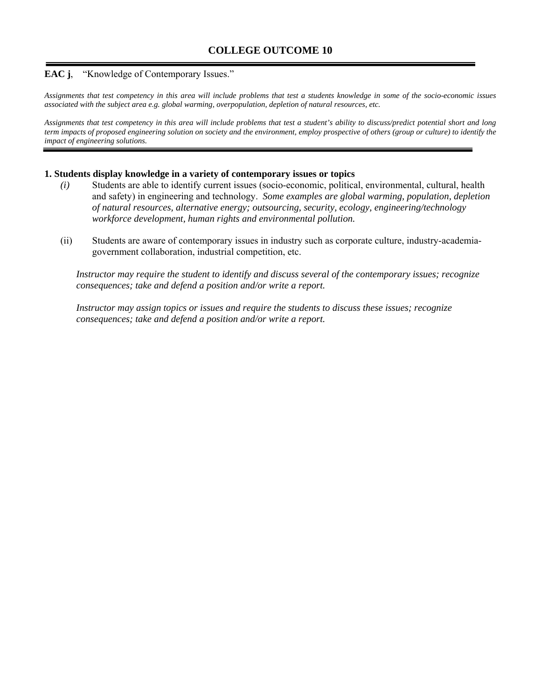## **EAC j**, "Knowledge of Contemporary Issues."

*Assignments that test competency in this area will include problems that test a students knowledge in some of the socio-economic issues associated with the subject area e.g. global warming, overpopulation, depletion of natural resources, etc.* 

*Assignments that test competency in this area will include problems that test a student's ability to discuss/predict potential short and long term impacts of proposed engineering solution on society and the environment, employ prospective of others (group or culture) to identify the impact of engineering solutions.* 

#### **1. Students display knowledge in a variety of contemporary issues or topics**

- *(i)* Students are able to identify current issues (socio-economic, political, environmental, cultural, health and safety) in engineering and technology. *Some examples are global warming, population, depletion of natural resources, alternative energy; outsourcing, security, ecology, engineering/technology workforce development, human rights and environmental pollution.*
- (ii) Students are aware of contemporary issues in industry such as corporate culture, industry-academiagovernment collaboration, industrial competition, etc.

*Instructor may require the student to identify and discuss several of the contemporary issues; recognize consequences; take and defend a position and/or write a report.* 

*Instructor may assign topics or issues and require the students to discuss these issues; recognize consequences; take and defend a position and/or write a report.*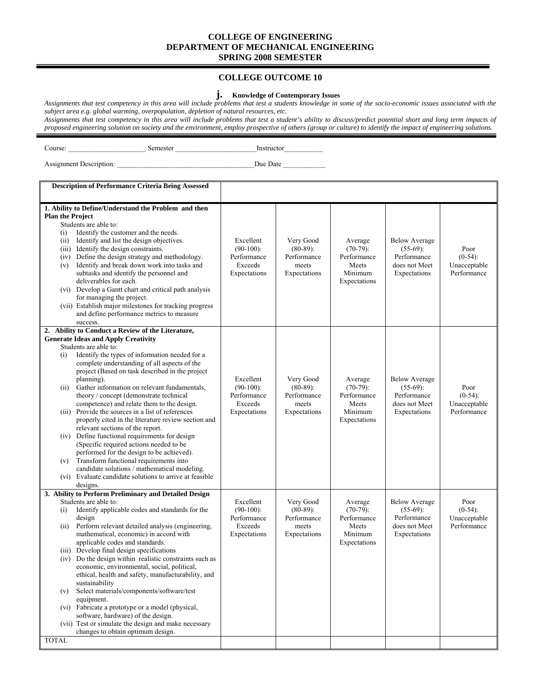#### **COLLEGE OUTCOME 10**

#### **j. Knowledge of Contemporary Issues**

*Assignments that test competency in this area will include problems that test a students knowledge in some of the socio-economic issues associated with the subject area e.g. global warming, overpopulation, depletion of natural resources, etc.* 

*Assignments that test competency in this area will include problems that test a student's ability to discuss/predict potential short and long term impacts of proposed engineering solution on society and the environment, employ prospective of others (group or culture) to identify the impact of engineering solutions.* 

Course: \_\_\_\_\_\_\_\_\_\_\_\_\_\_\_\_\_\_\_\_\_\_ Semester \_\_\_\_\_\_\_\_\_\_\_\_\_\_\_\_\_\_\_\_\_\_\_Instructor\_\_\_\_\_\_\_\_\_\_\_

| <b>Assignment Description:</b> | Due Date |
|--------------------------------|----------|

| <b>Description of Performance Criteria Being Assessed</b>                                                                                                                                                                                                                                                                                                                                                                                                                                                                                                                                                                                                                                                                                                                                                          |                                                                     |                                                                  |                                                                           |                                                                                     |                                                   |
|--------------------------------------------------------------------------------------------------------------------------------------------------------------------------------------------------------------------------------------------------------------------------------------------------------------------------------------------------------------------------------------------------------------------------------------------------------------------------------------------------------------------------------------------------------------------------------------------------------------------------------------------------------------------------------------------------------------------------------------------------------------------------------------------------------------------|---------------------------------------------------------------------|------------------------------------------------------------------|---------------------------------------------------------------------------|-------------------------------------------------------------------------------------|---------------------------------------------------|
| 1. Ability to Define/Understand the Problem and then<br><b>Plan the Project</b><br>Students are able to:<br>Identify the customer and the needs.<br>(i)<br>Identify and list the design objectives.<br>(ii)<br>(iii) Identify the design constraints.<br>Define the design strategy and methodology.<br>(iv)<br>Identify and break down work into tasks and<br>(v)<br>subtasks and identify the personnel and<br>deliverables for each.<br>(vi) Develop a Gantt chart and critical path analysis<br>for managing the project.<br>(vii) Establish major milestones for tracking progress<br>and define performance metrics to measure<br>success.                                                                                                                                                                   | Excellent<br>$(90-100)$ :<br>Performance<br>Exceeds<br>Expectations | Very Good<br>$(80-89)$ :<br>Performance<br>meets<br>Expectations | Average<br>$(70-79)$ :<br>Performance<br>Meets<br>Minimum<br>Expectations | <b>Below Average</b><br>$(55-69)$ :<br>Performance<br>does not Meet<br>Expectations | Poor<br>$(0-54)$ :<br>Unacceptable<br>Performance |
| 2. Ability to Conduct a Review of the Literature,<br><b>Generate Ideas and Apply Creativity</b>                                                                                                                                                                                                                                                                                                                                                                                                                                                                                                                                                                                                                                                                                                                    |                                                                     |                                                                  |                                                                           |                                                                                     |                                                   |
| Students are able to:<br>Identify the types of information needed for a<br>(i)<br>complete understanding of all aspects of the<br>project (Based on task described in the project<br>planning).<br>Gather information on relevant fundamentals,<br>(ii)<br>theory / concept (demonstrate technical<br>competence) and relate them to the design.<br>(iii) Provide the sources in a list of references<br>properly cited in the literature review section and<br>relevant sections of the report.<br>(iv) Define functional requirements for design<br>(Specific required actions needed to be<br>performed for the design to be achieved).<br>Transform functional requirements into<br>(v)<br>candidate solutions / mathematical modeling.<br>(vi) Evaluate candidate solutions to arrive at feasible<br>designs. | Excellent<br>$(90-100)$ :<br>Performance<br>Exceeds<br>Expectations | Very Good<br>$(80-89)$ :<br>Performance<br>meets<br>Expectations | Average<br>$(70-79)$ :<br>Performance<br>Meets<br>Minimum<br>Expectations | <b>Below Average</b><br>$(55-69)$ :<br>Performance<br>does not Meet<br>Expectations | Poor<br>$(0-54)$ :<br>Unacceptable<br>Performance |
| 3. Ability to Perform Preliminary and Detailed Design<br>Students are able to:<br>Identify applicable codes and standards for the<br>(i)<br>design<br>Perform relevant detailed analysis (engineering,<br>(ii)<br>mathematical, economic) in accord with<br>applicable codes and standards.<br>(iii) Develop final design specifications<br>(iv) Do the design within realistic constraints such as<br>economic, environmental, social, political,<br>ethical, health and safety, manufacturability, and<br>sustainability<br>Select materials/components/software/test<br>(v)<br>equipment.<br>(vi) Fabricate a prototype or a model (physical,<br>software, hardware) of the design.<br>(vii) Test or simulate the design and make necessary<br>changes to obtain optimum design.                                | Excellent<br>$(90-100)$ :<br>Performance<br>Exceeds<br>Expectations | Very Good<br>$(80-89)$ :<br>Performance<br>meets<br>Expectations | Average<br>$(70-79)$ :<br>Performance<br>Meets<br>Minimum<br>Expectations | <b>Below Average</b><br>$(55-69)$ :<br>Performance<br>does not Meet<br>Expectations | Poor<br>$(0-54)$ :<br>Unacceptable<br>Performance |
| <b>TOTAL</b>                                                                                                                                                                                                                                                                                                                                                                                                                                                                                                                                                                                                                                                                                                                                                                                                       |                                                                     |                                                                  |                                                                           |                                                                                     |                                                   |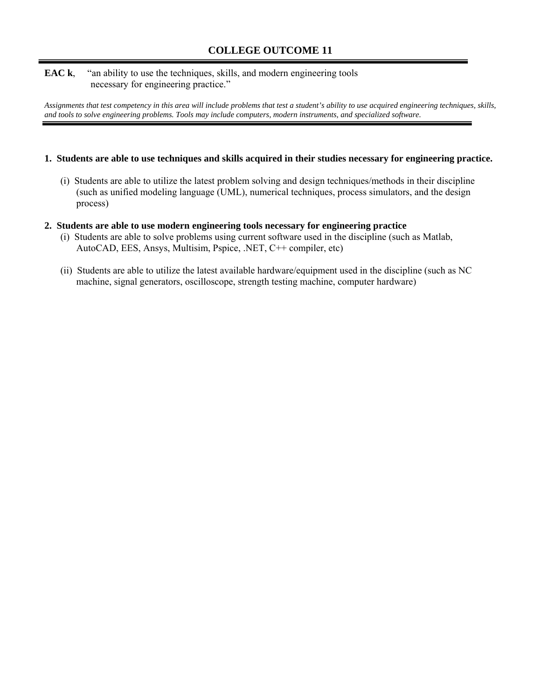#### **EAC k,** "an ability to use the techniques, skills, and modern engineering tools necessary for engineering practice."

*Assignments that test competency in this area will include problems that test a student's ability to use acquired engineering techniques, skills, and tools to solve engineering problems. Tools may include computers, modern instruments, and specialized software.* 

#### **1. Students are able to use techniques and skills acquired in their studies necessary for engineering practice.**

(i) Students are able to utilize the latest problem solving and design techniques/methods in their discipline (such as unified modeling language (UML), numerical techniques, process simulators, and the design process)

#### **2. Students are able to use modern engineering tools necessary for engineering practice**

- (i) Students are able to solve problems using current software used in the discipline (such as Matlab, AutoCAD, EES, Ansys, Multisim, Pspice, .NET, C++ compiler, etc)
- (ii) Students are able to utilize the latest available hardware/equipment used in the discipline (such as NC machine, signal generators, oscilloscope, strength testing machine, computer hardware)